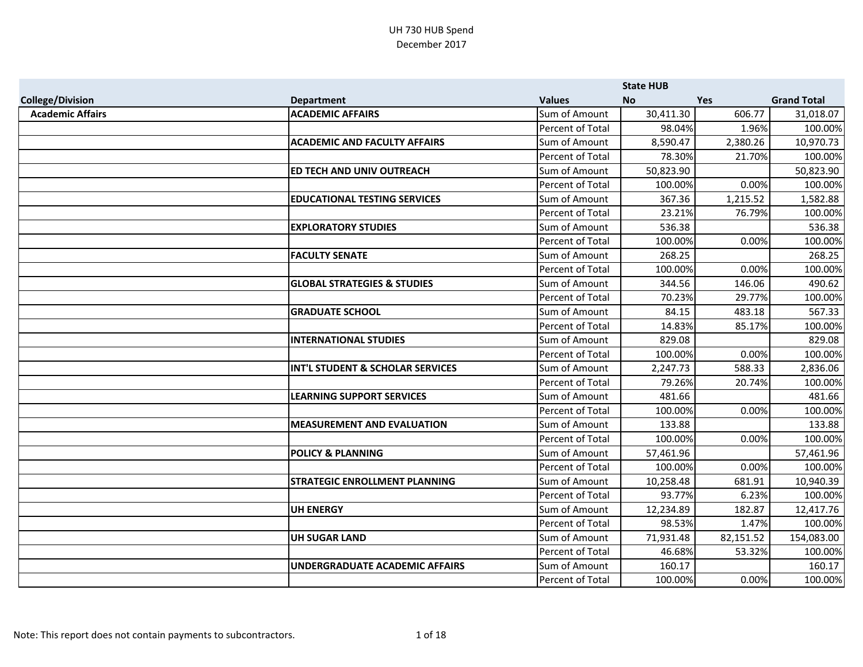|                         |                                        |                         | <b>State HUB</b> |            |                    |
|-------------------------|----------------------------------------|-------------------------|------------------|------------|--------------------|
| <b>College/Division</b> | <b>Department</b>                      | <b>Values</b>           | <b>No</b>        | <b>Yes</b> | <b>Grand Total</b> |
| <b>Academic Affairs</b> | <b>ACADEMIC AFFAIRS</b>                | Sum of Amount           | 30,411.30        | 606.77     | 31,018.07          |
|                         |                                        | Percent of Total        | 98.04%           | 1.96%      | 100.00%            |
|                         | <b>ACADEMIC AND FACULTY AFFAIRS</b>    | Sum of Amount           | 8,590.47         | 2,380.26   | 10,970.73          |
|                         |                                        | Percent of Total        | 78.30%           | 21.70%     | 100.00%            |
|                         | ED TECH AND UNIV OUTREACH              | Sum of Amount           | 50,823.90        |            | 50,823.90          |
|                         |                                        | Percent of Total        | 100.00%          | 0.00%      | 100.00%            |
|                         | <b>EDUCATIONAL TESTING SERVICES</b>    | Sum of Amount           | 367.36           | 1,215.52   | 1,582.88           |
|                         |                                        | Percent of Total        | 23.21%           | 76.79%     | 100.00%            |
|                         | <b>EXPLORATORY STUDIES</b>             | Sum of Amount           | 536.38           |            | 536.38             |
|                         |                                        | <b>Percent of Total</b> | 100.00%          | 0.00%      | 100.00%            |
|                         | <b>FACULTY SENATE</b>                  | Sum of Amount           | 268.25           |            | 268.25             |
|                         |                                        | Percent of Total        | 100.00%          | 0.00%      | 100.00%            |
|                         | <b>GLOBAL STRATEGIES &amp; STUDIES</b> | Sum of Amount           | 344.56           | 146.06     | 490.62             |
|                         |                                        | Percent of Total        | 70.23%           | 29.77%     | 100.00%            |
|                         | <b>GRADUATE SCHOOL</b>                 | Sum of Amount           | 84.15            | 483.18     | 567.33             |
|                         |                                        | Percent of Total        | 14.83%           | 85.17%     | 100.00%            |
|                         | <b>INTERNATIONAL STUDIES</b>           | Sum of Amount           | 829.08           |            | 829.08             |
|                         |                                        | <b>Percent of Total</b> | 100.00%          | 0.00%      | 100.00%            |
|                         | INT'L STUDENT & SCHOLAR SERVICES       | Sum of Amount           | 2,247.73         | 588.33     | 2,836.06           |
|                         |                                        | Percent of Total        | 79.26%           | 20.74%     | 100.00%            |
|                         | <b>LEARNING SUPPORT SERVICES</b>       | Sum of Amount           | 481.66           |            | 481.66             |
|                         |                                        | Percent of Total        | 100.00%          | 0.00%      | 100.00%            |
|                         | <b>MEASUREMENT AND EVALUATION</b>      | Sum of Amount           | 133.88           |            | 133.88             |
|                         |                                        | Percent of Total        | 100.00%          | 0.00%      | 100.00%            |
|                         | <b>POLICY &amp; PLANNING</b>           | Sum of Amount           | 57,461.96        |            | 57,461.96          |
|                         |                                        | <b>Percent of Total</b> | 100.00%          | 0.00%      | 100.00%            |
|                         | <b>STRATEGIC ENROLLMENT PLANNING</b>   | Sum of Amount           | 10,258.48        | 681.91     | 10,940.39          |
|                         |                                        | Percent of Total        | 93.77%           | 6.23%      | 100.00%            |
|                         | <b>UH ENERGY</b>                       | Sum of Amount           | 12,234.89        | 182.87     | 12,417.76          |
|                         |                                        | Percent of Total        | 98.53%           | 1.47%      | 100.00%            |
|                         | <b>UH SUGAR LAND</b>                   | Sum of Amount           | 71,931.48        | 82,151.52  | 154,083.00         |
|                         |                                        | Percent of Total        | 46.68%           | 53.32%     | 100.00%            |
|                         | <b>UNDERGRADUATE ACADEMIC AFFAIRS</b>  | Sum of Amount           | 160.17           |            | 160.17             |
|                         |                                        | Percent of Total        | 100.00%          | 0.00%      | 100.00%            |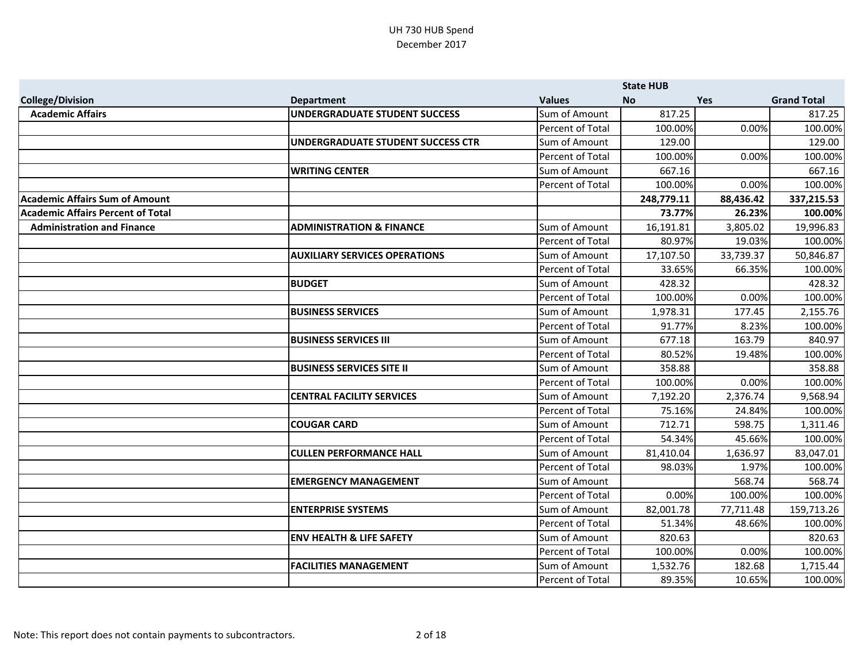|                                          |                                      |                         | <b>State HUB</b> |            |                    |
|------------------------------------------|--------------------------------------|-------------------------|------------------|------------|--------------------|
| <b>College/Division</b>                  | <b>Department</b>                    | <b>Values</b>           | <b>No</b>        | <b>Yes</b> | <b>Grand Total</b> |
| <b>Academic Affairs</b>                  | <b>UNDERGRADUATE STUDENT SUCCESS</b> | Sum of Amount           | 817.25           |            | 817.25             |
|                                          |                                      | <b>Percent of Total</b> | 100.00%          | 0.00%      | 100.00%            |
|                                          | UNDERGRADUATE STUDENT SUCCESS CTR    | Sum of Amount           | 129.00           |            | 129.00             |
|                                          |                                      | Percent of Total        | 100.00%          | 0.00%      | 100.00%            |
|                                          | <b>WRITING CENTER</b>                | Sum of Amount           | 667.16           |            | 667.16             |
|                                          |                                      | Percent of Total        | 100.00%          | 0.00%      | 100.00%            |
| <b>Academic Affairs Sum of Amount</b>    |                                      |                         | 248,779.11       | 88,436.42  | 337,215.53         |
| <b>Academic Affairs Percent of Total</b> |                                      |                         | 73.77%           | 26.23%     | 100.00%            |
| <b>Administration and Finance</b>        | <b>ADMINISTRATION &amp; FINANCE</b>  | Sum of Amount           | 16,191.81        | 3,805.02   | 19,996.83          |
|                                          |                                      | <b>Percent of Total</b> | 80.97%           | 19.03%     | 100.00%            |
|                                          | <b>AUXILIARY SERVICES OPERATIONS</b> | Sum of Amount           | 17,107.50        | 33,739.37  | 50,846.87          |
|                                          |                                      | Percent of Total        | 33.65%           | 66.35%     | 100.00%            |
|                                          | <b>BUDGET</b>                        | Sum of Amount           | 428.32           |            | 428.32             |
|                                          |                                      | Percent of Total        | 100.00%          | 0.00%      | 100.00%            |
|                                          | <b>BUSINESS SERVICES</b>             | Sum of Amount           | 1,978.31         | 177.45     | 2,155.76           |
|                                          |                                      | Percent of Total        | 91.77%           | 8.23%      | 100.00%            |
|                                          | <b>BUSINESS SERVICES III</b>         | Sum of Amount           | 677.18           | 163.79     | 840.97             |
|                                          |                                      | <b>Percent of Total</b> | 80.52%           | 19.48%     | 100.00%            |
|                                          | <b>BUSINESS SERVICES SITE II</b>     | Sum of Amount           | 358.88           |            | 358.88             |
|                                          |                                      | Percent of Total        | 100.00%          | 0.00%      | 100.00%            |
|                                          | <b>CENTRAL FACILITY SERVICES</b>     | Sum of Amount           | 7,192.20         | 2,376.74   | 9,568.94           |
|                                          |                                      | <b>Percent of Total</b> | 75.16%           | 24.84%     | 100.00%            |
|                                          | <b>COUGAR CARD</b>                   | Sum of Amount           | 712.71           | 598.75     | 1,311.46           |
|                                          |                                      | Percent of Total        | 54.34%           | 45.66%     | 100.00%            |
|                                          | <b>CULLEN PERFORMANCE HALL</b>       | Sum of Amount           | 81,410.04        | 1,636.97   | 83,047.01          |
|                                          |                                      | Percent of Total        | 98.03%           | 1.97%      | 100.00%            |
|                                          | <b>EMERGENCY MANAGEMENT</b>          | Sum of Amount           |                  | 568.74     | 568.74             |
|                                          |                                      | Percent of Total        | 0.00%            | 100.00%    | 100.00%            |
|                                          | <b>ENTERPRISE SYSTEMS</b>            | Sum of Amount           | 82,001.78        | 77,711.48  | 159,713.26         |
|                                          |                                      | Percent of Total        | 51.34%           | 48.66%     | 100.00%            |
|                                          | <b>ENV HEALTH &amp; LIFE SAFETY</b>  | Sum of Amount           | 820.63           |            | 820.63             |
|                                          |                                      | Percent of Total        | 100.00%          | 0.00%      | 100.00%            |
|                                          | <b>FACILITIES MANAGEMENT</b>         | Sum of Amount           | 1,532.76         | 182.68     | 1,715.44           |
|                                          |                                      | Percent of Total        | 89.35%           | 10.65%     | 100.00%            |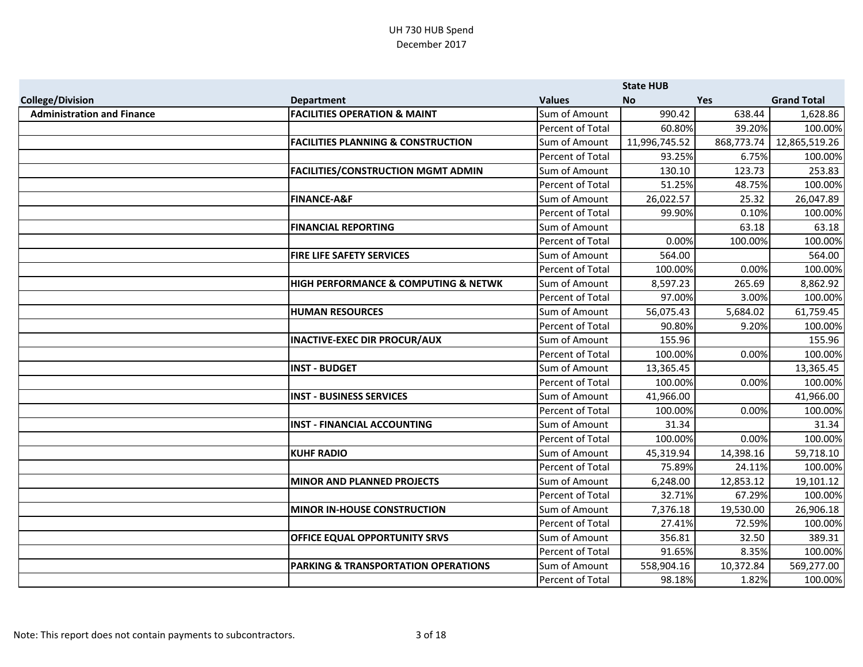|                                   |                                                |                         | <b>State HUB</b> |            |                    |
|-----------------------------------|------------------------------------------------|-------------------------|------------------|------------|--------------------|
| <b>College/Division</b>           | <b>Department</b>                              | <b>Values</b>           | <b>No</b>        | <b>Yes</b> | <b>Grand Total</b> |
| <b>Administration and Finance</b> | <b>FACILITIES OPERATION &amp; MAINT</b>        | Sum of Amount           | 990.42           | 638.44     | 1,628.86           |
|                                   |                                                | Percent of Total        | 60.80%           | 39.20%     | 100.00%            |
|                                   | <b>FACILITIES PLANNING &amp; CONSTRUCTION</b>  | Sum of Amount           | 11,996,745.52    | 868,773.74 | 12,865,519.26      |
|                                   |                                                | Percent of Total        | 93.25%           | 6.75%      | 100.00%            |
|                                   | <b>FACILITIES/CONSTRUCTION MGMT ADMIN</b>      | Sum of Amount           | 130.10           | 123.73     | 253.83             |
|                                   |                                                | Percent of Total        | 51.25%           | 48.75%     | 100.00%            |
|                                   | <b>FINANCE-A&amp;F</b>                         | Sum of Amount           | 26,022.57        | 25.32      | 26,047.89          |
|                                   |                                                | Percent of Total        | 99.90%           | 0.10%      | 100.00%            |
|                                   | <b>FINANCIAL REPORTING</b>                     | Sum of Amount           |                  | 63.18      | 63.18              |
|                                   |                                                | Percent of Total        | 0.00%            | 100.00%    | 100.00%            |
|                                   | <b>FIRE LIFE SAFETY SERVICES</b>               | Sum of Amount           | 564.00           |            | 564.00             |
|                                   |                                                | Percent of Total        | 100.00%          | 0.00%      | 100.00%            |
|                                   | HIGH PERFORMANCE & COMPUTING & NETWK           | Sum of Amount           | 8,597.23         | 265.69     | 8,862.92           |
|                                   |                                                | Percent of Total        | 97.00%           | 3.00%      | 100.00%            |
|                                   | <b>HUMAN RESOURCES</b>                         | Sum of Amount           | 56,075.43        | 5,684.02   | 61,759.45          |
|                                   |                                                | Percent of Total        | 90.80%           | 9.20%      | 100.00%            |
|                                   | <b>INACTIVE-EXEC DIR PROCUR/AUX</b>            | Sum of Amount           | 155.96           |            | 155.96             |
|                                   |                                                | Percent of Total        | 100.00%          | 0.00%      | 100.00%            |
|                                   | <b>INST - BUDGET</b>                           | Sum of Amount           | 13,365.45        |            | 13,365.45          |
|                                   |                                                | <b>Percent of Total</b> | 100.00%          | 0.00%      | 100.00%            |
|                                   | <b>INST - BUSINESS SERVICES</b>                | Sum of Amount           | 41,966.00        |            | 41,966.00          |
|                                   |                                                | Percent of Total        | 100.00%          | 0.00%      | 100.00%            |
|                                   | <b>INST - FINANCIAL ACCOUNTING</b>             | Sum of Amount           | 31.34            |            | 31.34              |
|                                   |                                                | Percent of Total        | 100.00%          | 0.00%      | 100.00%            |
|                                   | <b>KUHF RADIO</b>                              | Sum of Amount           | 45,319.94        | 14,398.16  | 59,718.10          |
|                                   |                                                | Percent of Total        | 75.89%           | 24.11%     | 100.00%            |
|                                   | <b>MINOR AND PLANNED PROJECTS</b>              | Sum of Amount           | 6,248.00         | 12,853.12  | 19,101.12          |
|                                   |                                                | Percent of Total        | 32.71%           | 67.29%     | 100.00%            |
|                                   | <b>MINOR IN-HOUSE CONSTRUCTION</b>             | Sum of Amount           | 7,376.18         | 19,530.00  | 26,906.18          |
|                                   |                                                | Percent of Total        | 27.41%           | 72.59%     | 100.00%            |
|                                   | OFFICE EQUAL OPPORTUNITY SRVS                  | Sum of Amount           | 356.81           | 32.50      | 389.31             |
|                                   |                                                | Percent of Total        | 91.65%           | 8.35%      | 100.00%            |
|                                   | <b>PARKING &amp; TRANSPORTATION OPERATIONS</b> | Sum of Amount           | 558,904.16       | 10,372.84  | 569,277.00         |
|                                   |                                                | Percent of Total        | 98.18%           | 1.82%      | 100.00%            |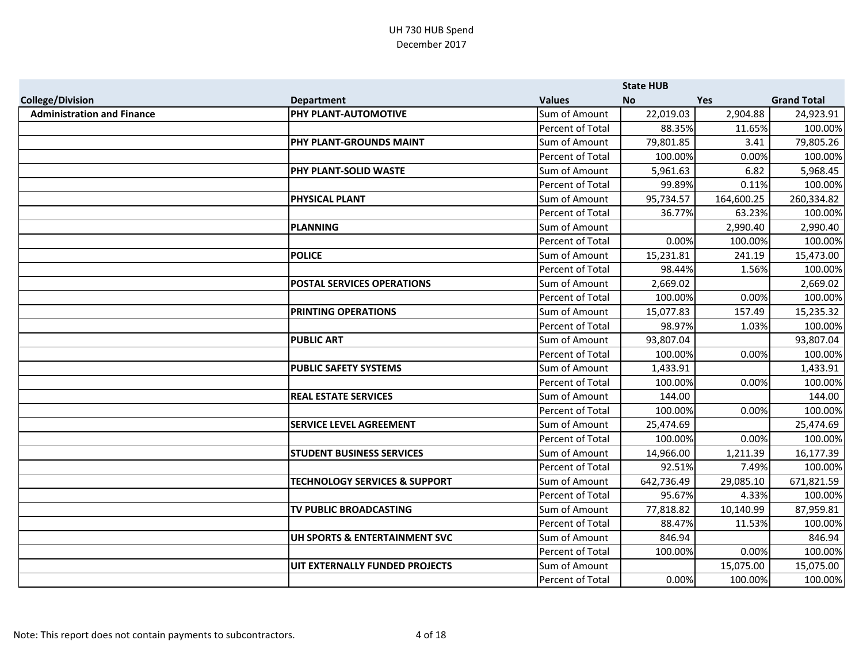|                                   |                                          |                         | <b>State HUB</b> |            |                    |
|-----------------------------------|------------------------------------------|-------------------------|------------------|------------|--------------------|
| <b>College/Division</b>           | <b>Department</b>                        | <b>Values</b>           | <b>No</b>        | <b>Yes</b> | <b>Grand Total</b> |
| <b>Administration and Finance</b> | PHY PLANT-AUTOMOTIVE                     | Sum of Amount           | 22,019.03        | 2,904.88   | 24,923.91          |
|                                   |                                          | Percent of Total        | 88.35%           | 11.65%     | 100.00%            |
|                                   | PHY PLANT-GROUNDS MAINT                  | Sum of Amount           | 79,801.85        | 3.41       | 79,805.26          |
|                                   |                                          | Percent of Total        | 100.00%          | 0.00%      | 100.00%            |
|                                   | PHY PLANT-SOLID WASTE                    | Sum of Amount           | 5,961.63         | 6.82       | 5,968.45           |
|                                   |                                          | Percent of Total        | 99.89%           | 0.11%      | 100.00%            |
|                                   | <b>PHYSICAL PLANT</b>                    | Sum of Amount           | 95,734.57        | 164,600.25 | 260,334.82         |
|                                   |                                          | Percent of Total        | 36.77%           | 63.23%     | 100.00%            |
|                                   | <b>PLANNING</b>                          | Sum of Amount           |                  | 2,990.40   | 2,990.40           |
|                                   |                                          | Percent of Total        | 0.00%            | 100.00%    | 100.00%            |
|                                   | <b>POLICE</b>                            | Sum of Amount           | 15,231.81        | 241.19     | 15,473.00          |
|                                   |                                          | Percent of Total        | 98.44%           | 1.56%      | 100.00%            |
|                                   | <b>POSTAL SERVICES OPERATIONS</b>        | Sum of Amount           | 2,669.02         |            | 2,669.02           |
|                                   |                                          | Percent of Total        | 100.00%          | 0.00%      | 100.00%            |
|                                   | PRINTING OPERATIONS                      | Sum of Amount           | 15,077.83        | 157.49     | 15,235.32          |
|                                   |                                          | Percent of Total        | 98.97%           | 1.03%      | 100.00%            |
|                                   | <b>PUBLIC ART</b>                        | Sum of Amount           | 93,807.04        |            | 93,807.04          |
|                                   |                                          | Percent of Total        | 100.00%          | 0.00%      | 100.00%            |
|                                   | <b>PUBLIC SAFETY SYSTEMS</b>             | Sum of Amount           | 1,433.91         |            | 1,433.91           |
|                                   |                                          | <b>Percent of Total</b> | 100.00%          | 0.00%      | 100.00%            |
|                                   | <b>REAL ESTATE SERVICES</b>              | Sum of Amount           | 144.00           |            | 144.00             |
|                                   |                                          | Percent of Total        | 100.00%          | 0.00%      | 100.00%            |
|                                   | <b>SERVICE LEVEL AGREEMENT</b>           | Sum of Amount           | 25,474.69        |            | 25,474.69          |
|                                   |                                          | Percent of Total        | 100.00%          | 0.00%      | 100.00%            |
|                                   | <b>STUDENT BUSINESS SERVICES</b>         | Sum of Amount           | 14,966.00        | 1,211.39   | 16,177.39          |
|                                   |                                          | Percent of Total        | 92.51%           | 7.49%      | 100.00%            |
|                                   | <b>TECHNOLOGY SERVICES &amp; SUPPORT</b> | Sum of Amount           | 642,736.49       | 29,085.10  | 671,821.59         |
|                                   |                                          | Percent of Total        | 95.67%           | 4.33%      | 100.00%            |
|                                   | TV PUBLIC BROADCASTING                   | Sum of Amount           | 77,818.82        | 10,140.99  | 87,959.81          |
|                                   |                                          | Percent of Total        | 88.47%           | 11.53%     | 100.00%            |
|                                   | UH SPORTS & ENTERTAINMENT SVC            | Sum of Amount           | 846.94           |            | 846.94             |
|                                   |                                          | Percent of Total        | 100.00%          | 0.00%      | 100.00%            |
|                                   | UIT EXTERNALLY FUNDED PROJECTS           | Sum of Amount           |                  | 15,075.00  | 15,075.00          |
|                                   |                                          | Percent of Total        | 0.00%            | 100.00%    | 100.00%            |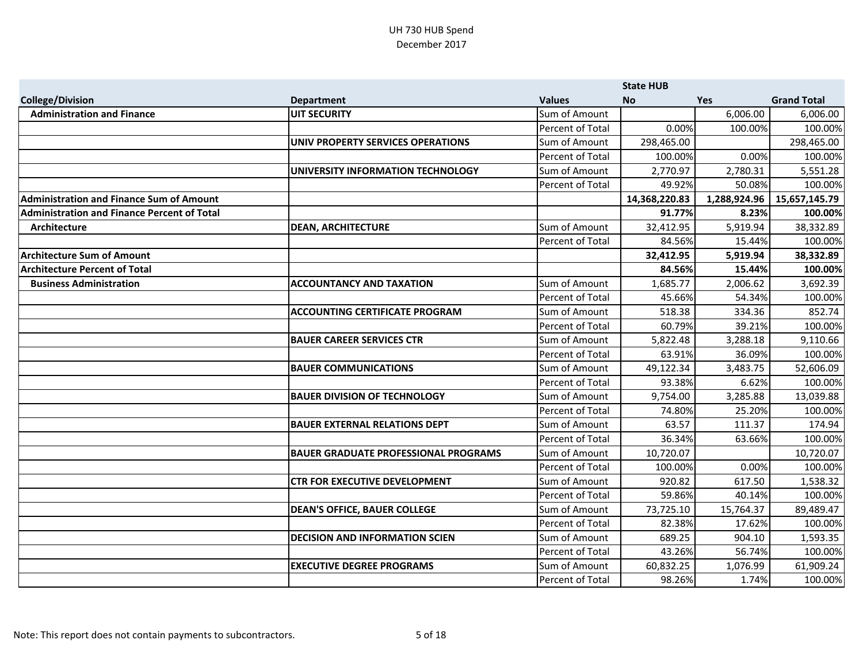|                                                    |                                             |                  | <b>State HUB</b> |              |                    |
|----------------------------------------------------|---------------------------------------------|------------------|------------------|--------------|--------------------|
| <b>College/Division</b>                            | <b>Department</b>                           | <b>Values</b>    | <b>No</b>        | <b>Yes</b>   | <b>Grand Total</b> |
| <b>Administration and Finance</b>                  | <b>UIT SECURITY</b>                         | Sum of Amount    |                  | 6,006.00     | 6,006.00           |
|                                                    |                                             | Percent of Total | 0.00%            | 100.00%      | 100.00%            |
|                                                    | UNIV PROPERTY SERVICES OPERATIONS           | Sum of Amount    | 298,465.00       |              | 298,465.00         |
|                                                    |                                             | Percent of Total | 100.00%          | 0.00%        | 100.00%            |
|                                                    | UNIVERSITY INFORMATION TECHNOLOGY           | Sum of Amount    | 2,770.97         | 2,780.31     | 5,551.28           |
|                                                    |                                             | Percent of Total | 49.92%           | 50.08%       | 100.00%            |
| <b>Administration and Finance Sum of Amount</b>    |                                             |                  | 14,368,220.83    | 1,288,924.96 | 15,657,145.79      |
| <b>Administration and Finance Percent of Total</b> |                                             |                  | 91.77%           | 8.23%        | 100.00%            |
| Architecture                                       | <b>DEAN, ARCHITECTURE</b>                   | Sum of Amount    | 32,412.95        | 5,919.94     | 38,332.89          |
|                                                    |                                             | Percent of Total | 84.56%           | 15.44%       | 100.00%            |
| <b>Architecture Sum of Amount</b>                  |                                             |                  | 32,412.95        | 5,919.94     | 38,332.89          |
| <b>Architecture Percent of Total</b>               |                                             |                  | 84.56%           | 15.44%       | 100.00%            |
| <b>Business Administration</b>                     | <b>ACCOUNTANCY AND TAXATION</b>             | Sum of Amount    | 1,685.77         | 2,006.62     | 3,692.39           |
|                                                    |                                             | Percent of Total | 45.66%           | 54.34%       | 100.00%            |
|                                                    | <b>ACCOUNTING CERTIFICATE PROGRAM</b>       | Sum of Amount    | 518.38           | 334.36       | 852.74             |
|                                                    |                                             | Percent of Total | 60.79%           | 39.21%       | 100.00%            |
|                                                    | <b>BAUER CAREER SERVICES CTR</b>            | Sum of Amount    | 5,822.48         | 3,288.18     | 9,110.66           |
|                                                    |                                             | Percent of Total | 63.91%           | 36.09%       | 100.00%            |
|                                                    | <b>BAUER COMMUNICATIONS</b>                 | Sum of Amount    | 49,122.34        | 3,483.75     | 52,606.09          |
|                                                    |                                             | Percent of Total | 93.38%           | 6.62%        | 100.00%            |
|                                                    | <b>BAUER DIVISION OF TECHNOLOGY</b>         | Sum of Amount    | 9,754.00         | 3,285.88     | 13,039.88          |
|                                                    |                                             | Percent of Total | 74.80%           | 25.20%       | 100.00%            |
|                                                    | <b>BAUER EXTERNAL RELATIONS DEPT</b>        | Sum of Amount    | 63.57            | 111.37       | 174.94             |
|                                                    |                                             | Percent of Total | 36.34%           | 63.66%       | 100.00%            |
|                                                    | <b>BAUER GRADUATE PROFESSIONAL PROGRAMS</b> | Sum of Amount    | 10,720.07        |              | 10,720.07          |
|                                                    |                                             | Percent of Total | 100.00%          | 0.00%        | 100.00%            |
|                                                    | <b>CTR FOR EXECUTIVE DEVELOPMENT</b>        | Sum of Amount    | 920.82           | 617.50       | 1,538.32           |
|                                                    |                                             | Percent of Total | 59.86%           | 40.14%       | 100.00%            |
|                                                    | <b>DEAN'S OFFICE, BAUER COLLEGE</b>         | Sum of Amount    | 73,725.10        | 15,764.37    | 89,489.47          |
|                                                    |                                             | Percent of Total | 82.38%           | 17.62%       | 100.00%            |
|                                                    | <b>DECISION AND INFORMATION SCIEN</b>       | Sum of Amount    | 689.25           | 904.10       | 1,593.35           |
|                                                    |                                             | Percent of Total | 43.26%           | 56.74%       | 100.00%            |
|                                                    | <b>EXECUTIVE DEGREE PROGRAMS</b>            | Sum of Amount    | 60,832.25        | 1,076.99     | 61,909.24          |
|                                                    |                                             | Percent of Total | 98.26%           | 1.74%        | 100.00%            |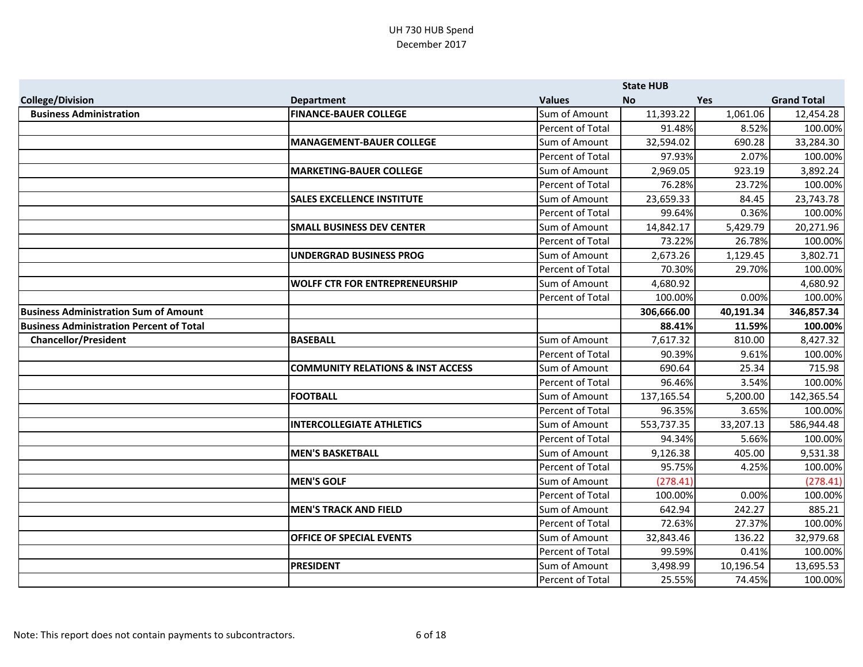|                                                 |                                              |                         | <b>State HUB</b> |            |                    |
|-------------------------------------------------|----------------------------------------------|-------------------------|------------------|------------|--------------------|
| <b>College/Division</b>                         | <b>Department</b>                            | <b>Values</b>           | <b>No</b>        | <b>Yes</b> | <b>Grand Total</b> |
| <b>Business Administration</b>                  | <b>FINANCE-BAUER COLLEGE</b>                 | Sum of Amount           | 11,393.22        | 1,061.06   | 12,454.28          |
|                                                 |                                              | Percent of Total        | 91.48%           | 8.52%      | 100.00%            |
|                                                 | <b>MANAGEMENT-BAUER COLLEGE</b>              | Sum of Amount           | 32,594.02        | 690.28     | 33,284.30          |
|                                                 |                                              | <b>Percent of Total</b> | 97.93%           | 2.07%      | 100.00%            |
|                                                 | <b>MARKETING-BAUER COLLEGE</b>               | Sum of Amount           | 2,969.05         | 923.19     | 3,892.24           |
|                                                 |                                              | Percent of Total        | 76.28%           | 23.72%     | 100.00%            |
|                                                 | <b>SALES EXCELLENCE INSTITUTE</b>            | Sum of Amount           | 23,659.33        | 84.45      | 23,743.78          |
|                                                 |                                              | <b>Percent of Total</b> | 99.64%           | 0.36%      | 100.00%            |
|                                                 | <b>SMALL BUSINESS DEV CENTER</b>             | Sum of Amount           | 14,842.17        | 5,429.79   | 20,271.96          |
|                                                 |                                              | <b>Percent of Total</b> | 73.22%           | 26.78%     | 100.00%            |
|                                                 | <b>UNDERGRAD BUSINESS PROG</b>               | Sum of Amount           | 2,673.26         | 1,129.45   | 3,802.71           |
|                                                 |                                              | Percent of Total        | 70.30%           | 29.70%     | 100.00%            |
|                                                 | <b>WOLFF CTR FOR ENTREPRENEURSHIP</b>        | Sum of Amount           | 4,680.92         |            | 4,680.92           |
|                                                 |                                              | Percent of Total        | 100.00%          | 0.00%      | 100.00%            |
| <b>Business Administration Sum of Amount</b>    |                                              |                         | 306,666.00       | 40,191.34  | 346,857.34         |
| <b>Business Administration Percent of Total</b> |                                              |                         | 88.41%           | 11.59%     | 100.00%            |
| <b>Chancellor/President</b>                     | <b>BASEBALL</b>                              | Sum of Amount           | 7,617.32         | 810.00     | 8,427.32           |
|                                                 |                                              | Percent of Total        | 90.39%           | 9.61%      | 100.00%            |
|                                                 | <b>COMMUNITY RELATIONS &amp; INST ACCESS</b> | Sum of Amount           | 690.64           | 25.34      | 715.98             |
|                                                 |                                              | <b>Percent of Total</b> | 96.46%           | 3.54%      | 100.00%            |
|                                                 | <b>FOOTBALL</b>                              | Sum of Amount           | 137,165.54       | 5,200.00   | 142,365.54         |
|                                                 |                                              | <b>Percent of Total</b> | 96.35%           | 3.65%      | 100.00%            |
|                                                 | <b>INTERCOLLEGIATE ATHLETICS</b>             | Sum of Amount           | 553,737.35       | 33,207.13  | 586,944.48         |
|                                                 |                                              | Percent of Total        | 94.34%           | 5.66%      | 100.00%            |
|                                                 | <b>MEN'S BASKETBALL</b>                      | Sum of Amount           | 9,126.38         | 405.00     | 9,531.38           |
|                                                 |                                              | <b>Percent of Total</b> | 95.75%           | 4.25%      | 100.00%            |
|                                                 | <b>MEN'S GOLF</b>                            | Sum of Amount           | (278.41)         |            | (278.41)           |
|                                                 |                                              | Percent of Total        | 100.00%          | 0.00%      | 100.00%            |
|                                                 | <b>MEN'S TRACK AND FIELD</b>                 | Sum of Amount           | 642.94           | 242.27     | 885.21             |
|                                                 |                                              | <b>Percent of Total</b> | 72.63%           | 27.37%     | 100.00%            |
|                                                 | OFFICE OF SPECIAL EVENTS                     | Sum of Amount           | 32,843.46        | 136.22     | 32,979.68          |
|                                                 |                                              | Percent of Total        | 99.59%           | 0.41%      | 100.00%            |
|                                                 | <b>PRESIDENT</b>                             | Sum of Amount           | 3,498.99         | 10,196.54  | 13,695.53          |
|                                                 |                                              | Percent of Total        | 25.55%           | 74.45%     | 100.00%            |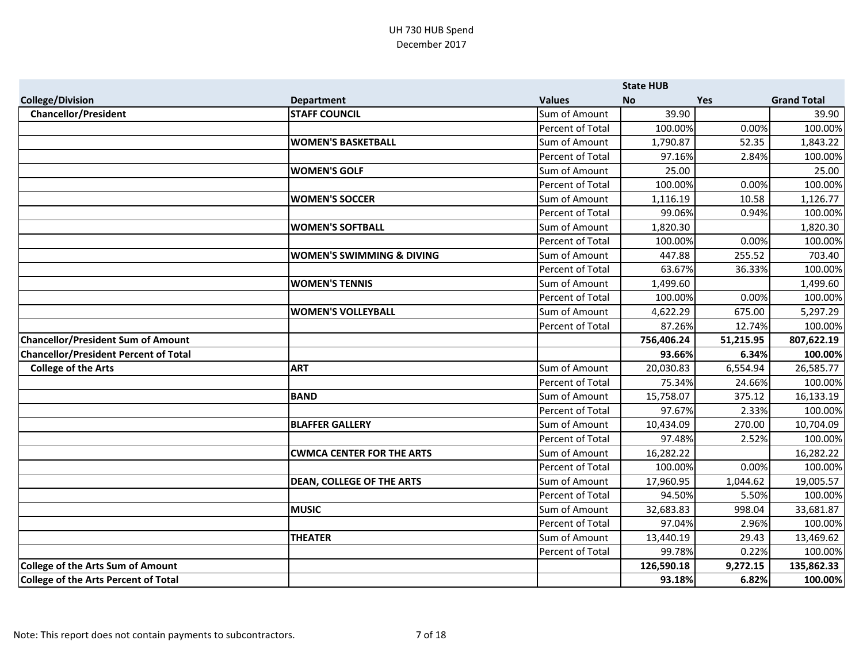|                                              |                                      |                  | <b>State HUB</b> |            |                               |
|----------------------------------------------|--------------------------------------|------------------|------------------|------------|-------------------------------|
| <b>College/Division</b>                      | <b>Department</b>                    | <b>Values</b>    | <b>No</b>        | <b>Yes</b> | <b>Grand Total</b>            |
| <b>Chancellor/President</b>                  | <b>STAFF COUNCIL</b>                 | Sum of Amount    | 39.90            |            | 39.90                         |
|                                              |                                      | Percent of Total | 100.00%          | 0.00%      | 100.00%                       |
|                                              | <b>WOMEN'S BASKETBALL</b>            | Sum of Amount    | 1,790.87         | 52.35      | 1,843.22                      |
|                                              |                                      | Percent of Total | 97.16%           | 2.84%      | 100.00%                       |
|                                              | <b>WOMEN'S GOLF</b>                  | Sum of Amount    | 25.00            |            | 25.00                         |
|                                              |                                      | Percent of Total | 100.00%          | 0.00%      | 100.00%                       |
|                                              | <b>WOMEN'S SOCCER</b>                | Sum of Amount    | 1,116.19         | 10.58      | 1,126.77                      |
|                                              |                                      | Percent of Total | 99.06%           | 0.94%      | 100.00%                       |
|                                              | <b>WOMEN'S SOFTBALL</b>              | Sum of Amount    | 1,820.30         |            | 1,820.30                      |
|                                              |                                      | Percent of Total | 100.00%          | 0.00%      | 100.00%                       |
|                                              | <b>WOMEN'S SWIMMING &amp; DIVING</b> | Sum of Amount    | 447.88           | 255.52     | 703.40                        |
|                                              |                                      | Percent of Total | 63.67%           | 36.33%     | 100.00%                       |
|                                              | <b>WOMEN'S TENNIS</b>                | Sum of Amount    | 1,499.60         |            | 1,499.60                      |
|                                              |                                      | Percent of Total | 100.00%          | 0.00%      | 100.00%                       |
|                                              | <b>WOMEN'S VOLLEYBALL</b>            | Sum of Amount    | 4,622.29         | 675.00     | 5,297.29                      |
|                                              |                                      | Percent of Total | 87.26%           | 12.74%     | 100.00%                       |
| <b>Chancellor/President Sum of Amount</b>    |                                      |                  | 756,406.24       | 51,215.95  | 807,622.19                    |
| <b>Chancellor/President Percent of Total</b> |                                      |                  | 93.66%           | 6.34%      | 100.00%                       |
| <b>College of the Arts</b>                   | <b>ART</b>                           | Sum of Amount    | 20,030.83        | 6,554.94   | 26,585.77                     |
|                                              |                                      | Percent of Total | 75.34%           | 24.66%     | 100.00%                       |
|                                              | <b>BAND</b>                          | Sum of Amount    | 15,758.07        | 375.12     | 16,133.19                     |
|                                              |                                      | Percent of Total | 97.67%           | 2.33%      | 100.00%                       |
|                                              | <b>BLAFFER GALLERY</b>               | Sum of Amount    | 10,434.09        | 270.00     | 10,704.09                     |
|                                              |                                      |                  |                  |            |                               |
|                                              |                                      | Percent of Total | 97.48%           | 2.52%      |                               |
|                                              | <b>CWMCA CENTER FOR THE ARTS</b>     | Sum of Amount    | 16,282.22        |            | 16,282.22                     |
|                                              |                                      | Percent of Total | 100.00%          | 0.00%      | 100.00%<br>100.00%            |
|                                              | <b>DEAN, COLLEGE OF THE ARTS</b>     | Sum of Amount    | 17,960.95        | 1,044.62   | 19,005.57                     |
|                                              |                                      | Percent of Total | 94.50%           | 5.50%      |                               |
|                                              | <b>MUSIC</b>                         | Sum of Amount    | 32,683.83        | 998.04     | 33,681.87                     |
|                                              |                                      | Percent of Total | 97.04%           | 2.96%      |                               |
|                                              | <b>THEATER</b>                       | Sum of Amount    | 13,440.19        | 29.43      | 13,469.62                     |
|                                              |                                      | Percent of Total | 99.78%           | 0.22%      | 100.00%<br>100.00%<br>100.00% |
| <b>College of the Arts Sum of Amount</b>     |                                      |                  | 126,590.18       | 9,272.15   | 135,862.33                    |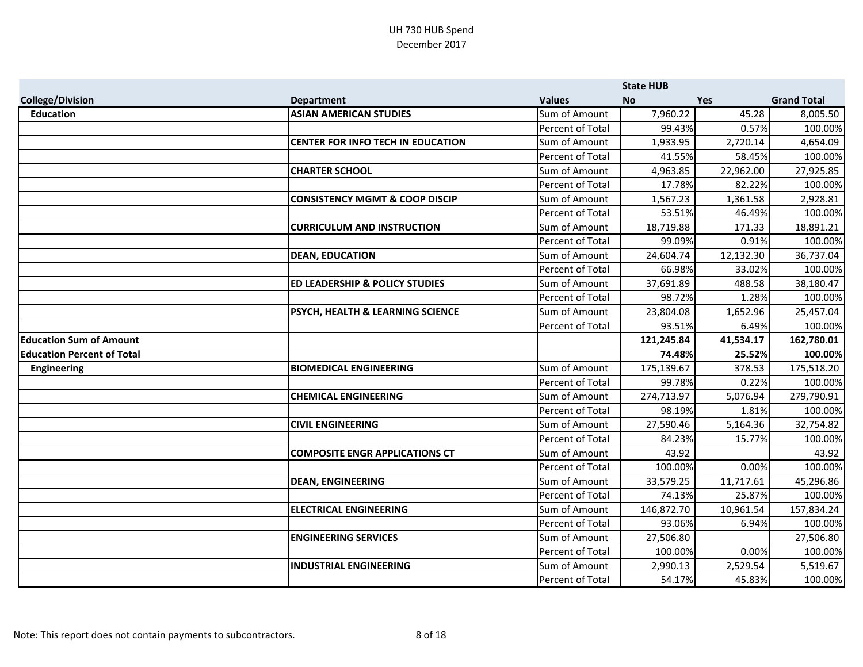|                                   |                                           |                         | <b>State HUB</b> |            |                    |
|-----------------------------------|-------------------------------------------|-------------------------|------------------|------------|--------------------|
| <b>College/Division</b>           | <b>Department</b>                         | <b>Values</b>           | <b>No</b>        | <b>Yes</b> | <b>Grand Total</b> |
| <b>Education</b>                  | <b>ASIAN AMERICAN STUDIES</b>             | Sum of Amount           | 7,960.22         | 45.28      | 8,005.50           |
|                                   |                                           | Percent of Total        | 99.43%           | 0.57%      | 100.00%            |
|                                   | <b>CENTER FOR INFO TECH IN EDUCATION</b>  | Sum of Amount           | 1,933.95         | 2,720.14   | 4,654.09           |
|                                   |                                           | Percent of Total        | 41.55%           | 58.45%     | 100.00%            |
|                                   | <b>CHARTER SCHOOL</b>                     | Sum of Amount           | 4,963.85         | 22,962.00  | 27,925.85          |
|                                   |                                           | Percent of Total        | 17.78%           | 82.22%     | 100.00%            |
|                                   | <b>CONSISTENCY MGMT &amp; COOP DISCIP</b> | Sum of Amount           | 1,567.23         | 1,361.58   | 2,928.81           |
|                                   |                                           | Percent of Total        | 53.51%           | 46.49%     | 100.00%            |
|                                   | <b>CURRICULUM AND INSTRUCTION</b>         | Sum of Amount           | 18,719.88        | 171.33     | 18,891.21          |
|                                   |                                           | Percent of Total        | 99.09%           | 0.91%      | 100.00%            |
|                                   | <b>DEAN, EDUCATION</b>                    | Sum of Amount           | 24,604.74        | 12,132.30  | 36,737.04          |
|                                   |                                           | Percent of Total        | 66.98%           | 33.02%     | 100.00%            |
|                                   | <b>ED LEADERSHIP &amp; POLICY STUDIES</b> | Sum of Amount           | 37,691.89        | 488.58     | 38,180.47          |
|                                   |                                           | Percent of Total        | 98.72%           | 1.28%      | 100.00%            |
|                                   | PSYCH, HEALTH & LEARNING SCIENCE          | Sum of Amount           | 23,804.08        | 1,652.96   | 25,457.04          |
|                                   |                                           | Percent of Total        | 93.51%           | 6.49%      | 100.00%            |
| <b>Education Sum of Amount</b>    |                                           |                         | 121,245.84       | 41,534.17  | 162,780.01         |
| <b>Education Percent of Total</b> |                                           |                         | 74.48%           | 25.52%     | 100.00%            |
| <b>Engineering</b>                | <b>BIOMEDICAL ENGINEERING</b>             | Sum of Amount           | 175,139.67       | 378.53     | 175,518.20         |
|                                   |                                           | <b>Percent of Total</b> | 99.78%           | 0.22%      | 100.00%            |
|                                   | <b>CHEMICAL ENGINEERING</b>               | Sum of Amount           | 274,713.97       | 5,076.94   | 279,790.91         |
|                                   |                                           | Percent of Total        | 98.19%           | 1.81%      | 100.00%            |
|                                   | <b>CIVIL ENGINEERING</b>                  | Sum of Amount           | 27,590.46        | 5,164.36   | 32,754.82          |
|                                   |                                           | Percent of Total        | 84.23%           | 15.77%     | 100.00%            |
|                                   | <b>COMPOSITE ENGR APPLICATIONS CT</b>     | Sum of Amount           | 43.92            |            | 43.92              |
|                                   |                                           | Percent of Total        | 100.00%          | 0.00%      | 100.00%            |
|                                   | <b>DEAN, ENGINEERING</b>                  | Sum of Amount           | 33,579.25        | 11,717.61  | 45,296.86          |
|                                   |                                           | Percent of Total        | 74.13%           | 25.87%     | 100.00%            |
|                                   | <b>ELECTRICAL ENGINEERING</b>             | Sum of Amount           | 146,872.70       | 10,961.54  | 157,834.24         |
|                                   |                                           | Percent of Total        | 93.06%           | 6.94%      | 100.00%            |
|                                   | <b>ENGINEERING SERVICES</b>               | Sum of Amount           | 27,506.80        |            | 27,506.80          |
|                                   |                                           | Percent of Total        | 100.00%          | 0.00%      | 100.00%            |
|                                   | <b>INDUSTRIAL ENGINEERING</b>             | Sum of Amount           | 2,990.13         | 2,529.54   | 5,519.67           |
|                                   |                                           | Percent of Total        | 54.17%           | 45.83%     | 100.00%            |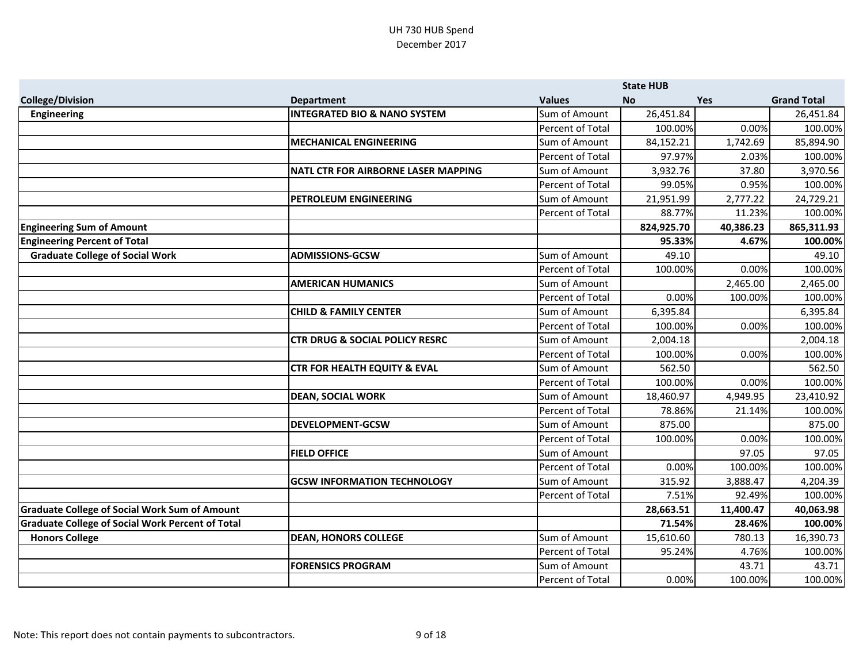|                                                         |                                           |                         | <b>State HUB</b> |           |                    |
|---------------------------------------------------------|-------------------------------------------|-------------------------|------------------|-----------|--------------------|
| <b>College/Division</b>                                 | <b>Department</b>                         | <b>Values</b>           | <b>No</b>        | Yes       | <b>Grand Total</b> |
| Engineering                                             | <b>INTEGRATED BIO &amp; NANO SYSTEM</b>   | Sum of Amount           | 26,451.84        |           | 26,451.84          |
|                                                         |                                           | Percent of Total        | 100.00%          | 0.00%     | 100.00%            |
|                                                         | <b>MECHANICAL ENGINEERING</b>             | Sum of Amount           | 84,152.21        | 1,742.69  | 85,894.90          |
|                                                         |                                           | Percent of Total        | 97.97%           | 2.03%     | 100.00%            |
|                                                         | NATL CTR FOR AIRBORNE LASER MAPPING       | Sum of Amount           | 3,932.76         | 37.80     | 3,970.56           |
|                                                         |                                           | Percent of Total        | 99.05%           | 0.95%     | 100.00%            |
|                                                         | PETROLEUM ENGINEERING                     | Sum of Amount           | 21,951.99        | 2,777.22  | 24,729.21          |
|                                                         |                                           | Percent of Total        | 88.77%           | 11.23%    | 100.00%            |
| <b>Engineering Sum of Amount</b>                        |                                           |                         | 824,925.70       | 40,386.23 | 865,311.93         |
| <b>Engineering Percent of Total</b>                     |                                           |                         | 95.33%           | 4.67%     | 100.00%            |
| <b>Graduate College of Social Work</b>                  | <b>ADMISSIONS-GCSW</b>                    | Sum of Amount           | 49.10            |           | 49.10              |
|                                                         |                                           | Percent of Total        | 100.00%          | 0.00%     | 100.00%            |
|                                                         | <b>AMERICAN HUMANICS</b>                  | Sum of Amount           |                  | 2,465.00  | 2,465.00           |
|                                                         |                                           | Percent of Total        | 0.00%            | 100.00%   | 100.00%            |
|                                                         | <b>CHILD &amp; FAMILY CENTER</b>          | Sum of Amount           | 6,395.84         |           | 6,395.84           |
|                                                         |                                           | Percent of Total        | 100.00%          | 0.00%     | 100.00%            |
|                                                         | <b>CTR DRUG &amp; SOCIAL POLICY RESRC</b> | Sum of Amount           | 2,004.18         |           | 2,004.18           |
|                                                         |                                           | Percent of Total        | 100.00%          | 0.00%     | 100.00%            |
|                                                         | <b>CTR FOR HEALTH EQUITY &amp; EVAL</b>   | Sum of Amount           | 562.50           |           | 562.50             |
|                                                         |                                           | Percent of Total        | 100.00%          | 0.00%     | 100.00%            |
|                                                         | <b>DEAN, SOCIAL WORK</b>                  | Sum of Amount           | 18,460.97        | 4,949.95  | 23,410.92          |
|                                                         |                                           | <b>Percent of Total</b> | 78.86%           | 21.14%    | 100.00%            |
|                                                         | <b>DEVELOPMENT-GCSW</b>                   | Sum of Amount           | 875.00           |           | 875.00             |
|                                                         |                                           | Percent of Total        | 100.00%          | 0.00%     | 100.00%            |
|                                                         | <b>FIELD OFFICE</b>                       | Sum of Amount           |                  | 97.05     | 97.05              |
|                                                         |                                           | Percent of Total        | 0.00%            | 100.00%   | 100.00%            |
|                                                         | <b>GCSW INFORMATION TECHNOLOGY</b>        | Sum of Amount           | 315.92           | 3,888.47  | 4,204.39           |
|                                                         |                                           | Percent of Total        | 7.51%            | 92.49%    | 100.00%            |
| <b>Graduate College of Social Work Sum of Amount</b>    |                                           |                         | 28,663.51        | 11,400.47 | 40,063.98          |
| <b>Graduate College of Social Work Percent of Total</b> |                                           |                         | 71.54%           | 28.46%    | 100.00%            |
| <b>Honors College</b>                                   | <b>DEAN, HONORS COLLEGE</b>               | Sum of Amount           | 15,610.60        | 780.13    | 16,390.73          |
|                                                         |                                           | Percent of Total        | 95.24%           | 4.76%     | 100.00%            |
|                                                         | <b>FORENSICS PROGRAM</b>                  | Sum of Amount           |                  | 43.71     | 43.71              |
|                                                         |                                           | Percent of Total        | 0.00%            | 100.00%   | 100.00%            |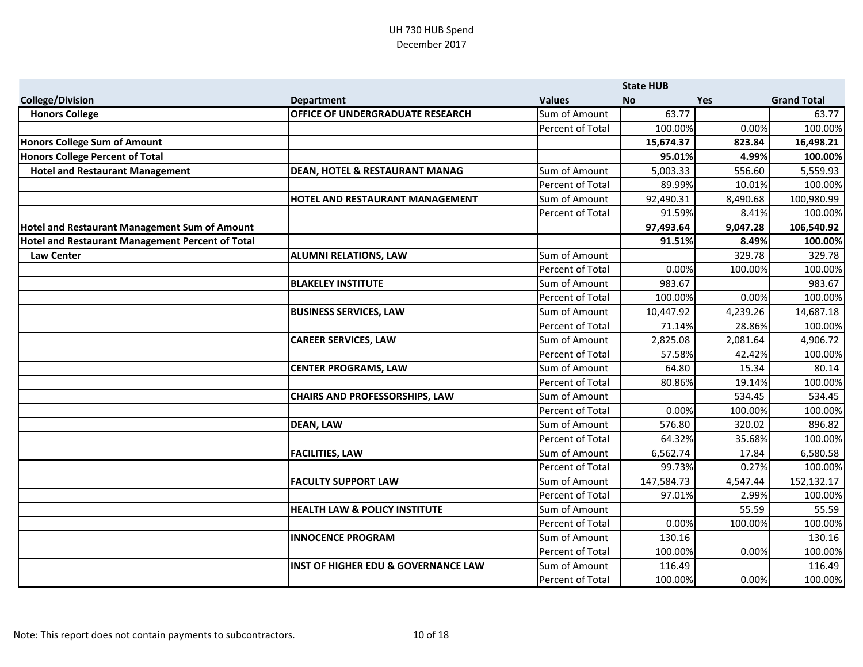|                                                  |                                                |                         | <b>State HUB</b> |            |                    |
|--------------------------------------------------|------------------------------------------------|-------------------------|------------------|------------|--------------------|
| <b>College/Division</b>                          | <b>Department</b>                              | <b>Values</b>           | <b>No</b>        | <b>Yes</b> | <b>Grand Total</b> |
| <b>Honors College</b>                            | OFFICE OF UNDERGRADUATE RESEARCH               | Sum of Amount           | 63.77            |            | 63.77              |
|                                                  |                                                | Percent of Total        | 100.00%          | 0.00%      | 100.00%            |
| <b>Honors College Sum of Amount</b>              |                                                |                         | 15,674.37        | 823.84     | 16,498.21          |
| <b>Honors College Percent of Total</b>           |                                                |                         | 95.01%           | 4.99%      | 100.00%            |
| <b>Hotel and Restaurant Management</b>           | <b>DEAN, HOTEL &amp; RESTAURANT MANAG</b>      | Sum of Amount           | 5,003.33         | 556.60     | 5,559.93           |
|                                                  |                                                | Percent of Total        | 89.99%           | 10.01%     | 100.00%            |
|                                                  | HOTEL AND RESTAURANT MANAGEMENT                | Sum of Amount           | 92,490.31        | 8,490.68   | 100,980.99         |
|                                                  |                                                | Percent of Total        | 91.59%           | 8.41%      | 100.00%            |
| Hotel and Restaurant Management Sum of Amount    |                                                |                         | 97,493.64        | 9,047.28   | 106,540.92         |
| Hotel and Restaurant Management Percent of Total |                                                |                         | 91.51%           | 8.49%      | 100.00%            |
| <b>Law Center</b>                                | <b>ALUMNI RELATIONS, LAW</b>                   | Sum of Amount           |                  | 329.78     | 329.78             |
|                                                  |                                                | Percent of Total        | 0.00%            | 100.00%    | 100.00%            |
|                                                  | <b>BLAKELEY INSTITUTE</b>                      | Sum of Amount           | 983.67           |            | 983.67             |
|                                                  |                                                | Percent of Total        | 100.00%          | 0.00%      | 100.00%            |
|                                                  | <b>BUSINESS SERVICES, LAW</b>                  | Sum of Amount           | 10,447.92        | 4,239.26   | 14,687.18          |
|                                                  |                                                | Percent of Total        | 71.14%           | 28.86%     | 100.00%            |
|                                                  | <b>CAREER SERVICES, LAW</b>                    | Sum of Amount           | 2,825.08         | 2,081.64   | 4,906.72           |
|                                                  |                                                | Percent of Total        | 57.58%           | 42.42%     | 100.00%            |
|                                                  | <b>CENTER PROGRAMS, LAW</b>                    | Sum of Amount           | 64.80            | 15.34      | 80.14              |
|                                                  |                                                | Percent of Total        | 80.86%           | 19.14%     | 100.00%            |
|                                                  | <b>CHAIRS AND PROFESSORSHIPS, LAW</b>          | Sum of Amount           |                  | 534.45     | 534.45             |
|                                                  |                                                | Percent of Total        | 0.00%            | 100.00%    | 100.00%            |
|                                                  | <b>DEAN, LAW</b>                               | Sum of Amount           | 576.80           | 320.02     | 896.82             |
|                                                  |                                                | Percent of Total        | 64.32%           | 35.68%     | 100.00%            |
|                                                  | <b>FACILITIES, LAW</b>                         | Sum of Amount           | 6,562.74         | 17.84      | 6,580.58           |
|                                                  |                                                | <b>Percent of Total</b> | 99.73%           | 0.27%      | 100.00%            |
|                                                  | <b>FACULTY SUPPORT LAW</b>                     | Sum of Amount           | 147,584.73       | 4,547.44   | 152,132.17         |
|                                                  |                                                | Percent of Total        | 97.01%           | 2.99%      | 100.00%            |
|                                                  | <b>HEALTH LAW &amp; POLICY INSTITUTE</b>       | Sum of Amount           |                  | 55.59      | 55.59              |
|                                                  |                                                | <b>Percent of Total</b> | 0.00%            | 100.00%    | 100.00%            |
|                                                  | <b>INNOCENCE PROGRAM</b>                       | Sum of Amount           | 130.16           |            | 130.16             |
|                                                  |                                                | Percent of Total        | 100.00%          | 0.00%      | 100.00%            |
|                                                  | <b>INST OF HIGHER EDU &amp; GOVERNANCE LAW</b> | Sum of Amount           | 116.49           |            | 116.49             |
|                                                  |                                                | Percent of Total        | 100.00%          | 0.00%      | 100.00%            |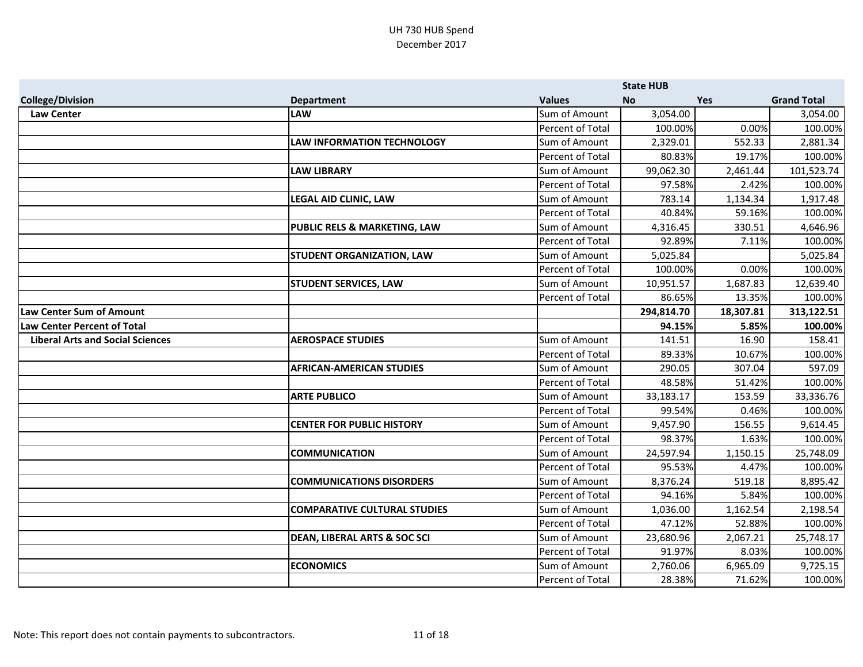|                                         |                                         |                         | <b>State HUB</b> |           |                    |
|-----------------------------------------|-----------------------------------------|-------------------------|------------------|-----------|--------------------|
| <b>College/Division</b>                 | <b>Department</b>                       | <b>Values</b>           | <b>No</b>        | Yes       | <b>Grand Total</b> |
| <b>Law Center</b>                       | <b>LAW</b>                              | Sum of Amount           | 3,054.00         |           | 3,054.00           |
|                                         |                                         | Percent of Total        | 100.00%          | 0.00%     | 100.00%            |
|                                         | <b>LAW INFORMATION TECHNOLOGY</b>       | Sum of Amount           | 2,329.01         | 552.33    | 2,881.34           |
|                                         |                                         | Percent of Total        | 80.83%           | 19.17%    | 100.00%            |
|                                         | <b>LAW LIBRARY</b>                      | Sum of Amount           | 99,062.30        | 2,461.44  | 101,523.74         |
|                                         |                                         | Percent of Total        | 97.58%           | 2.42%     | 100.00%            |
|                                         | <b>LEGAL AID CLINIC, LAW</b>            | Sum of Amount           | 783.14           | 1,134.34  | 1,917.48           |
|                                         |                                         | Percent of Total        | 40.84%           | 59.16%    | 100.00%            |
|                                         | PUBLIC RELS & MARKETING, LAW            | Sum of Amount           | 4,316.45         | 330.51    | 4,646.96           |
|                                         |                                         | Percent of Total        | 92.89%           | 7.11%     | 100.00%            |
|                                         | <b>STUDENT ORGANIZATION, LAW</b>        | Sum of Amount           | 5,025.84         |           | 5,025.84           |
|                                         |                                         | Percent of Total        | 100.00%          | 0.00%     | 100.00%            |
|                                         | <b>STUDENT SERVICES, LAW</b>            | Sum of Amount           | 10,951.57        | 1,687.83  | 12,639.40          |
|                                         |                                         | Percent of Total        | 86.65%           | 13.35%    | 100.00%            |
| <b>Law Center Sum of Amount</b>         |                                         |                         | 294,814.70       | 18,307.81 | 313,122.51         |
| Law Center Percent of Total             |                                         |                         | 94.15%           | 5.85%     | 100.00%            |
| <b>Liberal Arts and Social Sciences</b> | <b>AEROSPACE STUDIES</b>                | Sum of Amount           | 141.51           | 16.90     | 158.41             |
|                                         |                                         | Percent of Total        | 89.33%           | 10.67%    | 100.00%            |
|                                         | <b>AFRICAN-AMERICAN STUDIES</b>         | Sum of Amount           | 290.05           | 307.04    | 597.09             |
|                                         |                                         | <b>Percent of Total</b> | 48.58%           | 51.42%    | 100.00%            |
|                                         | <b>ARTE PUBLICO</b>                     | Sum of Amount           | 33,183.17        | 153.59    | 33,336.76          |
|                                         |                                         | Percent of Total        | 99.54%           | 0.46%     | 100.00%            |
|                                         | <b>CENTER FOR PUBLIC HISTORY</b>        | Sum of Amount           | 9,457.90         | 156.55    | 9,614.45           |
|                                         |                                         | Percent of Total        | 98.37%           | 1.63%     | 100.00%            |
|                                         | <b>COMMUNICATION</b>                    | Sum of Amount           | 24,597.94        | 1,150.15  | 25,748.09          |
|                                         |                                         | Percent of Total        | 95.53%           | 4.47%     | 100.00%            |
|                                         | <b>COMMUNICATIONS DISORDERS</b>         | Sum of Amount           | 8,376.24         | 519.18    | 8,895.42           |
|                                         |                                         | Percent of Total        | 94.16%           | 5.84%     | 100.00%            |
|                                         | <b>COMPARATIVE CULTURAL STUDIES</b>     | Sum of Amount           | 1,036.00         | 1,162.54  | 2,198.54           |
|                                         |                                         | Percent of Total        | 47.12%           | 52.88%    | 100.00%            |
|                                         | <b>DEAN, LIBERAL ARTS &amp; SOC SCI</b> | Sum of Amount           | 23,680.96        | 2,067.21  | 25,748.17          |
|                                         |                                         | Percent of Total        | 91.97%           | 8.03%     | 100.00%            |
|                                         | <b>ECONOMICS</b>                        | Sum of Amount           | 2,760.06         | 6,965.09  | 9,725.15           |
|                                         |                                         | Percent of Total        | 28.38%           | 71.62%    | 100.00%            |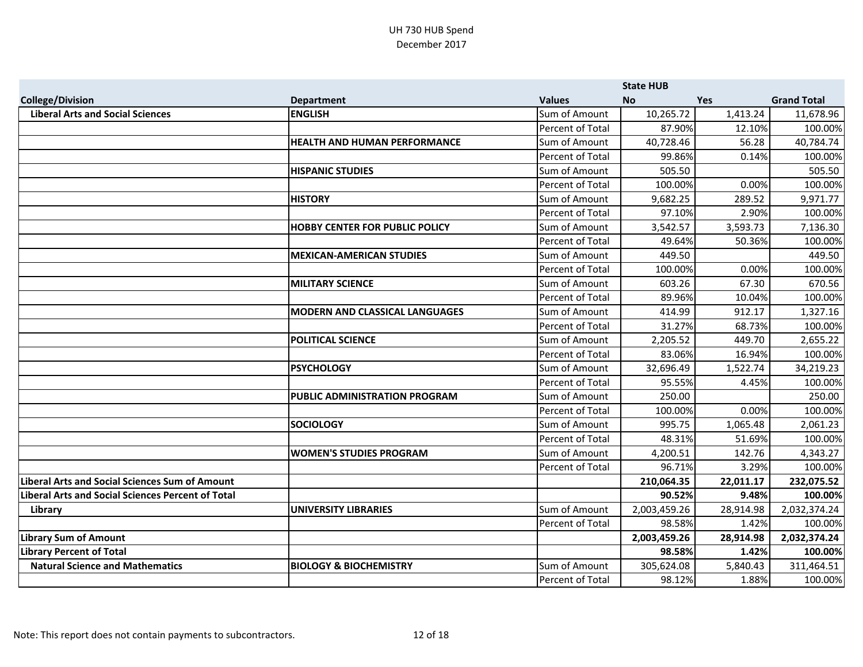|                                                          |                                       |                  | <b>State HUB</b> |            |                    |
|----------------------------------------------------------|---------------------------------------|------------------|------------------|------------|--------------------|
| <b>College/Division</b>                                  | <b>Department</b>                     | <b>Values</b>    | <b>No</b>        | <b>Yes</b> | <b>Grand Total</b> |
| <b>Liberal Arts and Social Sciences</b>                  | <b>ENGLISH</b>                        | Sum of Amount    | 10,265.72        | 1,413.24   | 11,678.96          |
|                                                          |                                       | Percent of Total | 87.90%           | 12.10%     | 100.00%            |
|                                                          | HEALTH AND HUMAN PERFORMANCE          | Sum of Amount    | 40,728.46        | 56.28      | 40,784.74          |
|                                                          |                                       | Percent of Total | 99.86%           | 0.14%      | 100.00%            |
|                                                          | <b>HISPANIC STUDIES</b>               | Sum of Amount    | 505.50           |            | 505.50             |
|                                                          |                                       | Percent of Total | 100.00%          | 0.00%      | 100.00%            |
|                                                          | <b>HISTORY</b>                        | Sum of Amount    | 9,682.25         | 289.52     | 9,971.77           |
|                                                          |                                       | Percent of Total | 97.10%           | 2.90%      | 100.00%            |
|                                                          | <b>HOBBY CENTER FOR PUBLIC POLICY</b> | Sum of Amount    | 3,542.57         | 3,593.73   | 7,136.30           |
|                                                          |                                       | Percent of Total | 49.64%           | 50.36%     | 100.00%            |
|                                                          | <b>MEXICAN-AMERICAN STUDIES</b>       | Sum of Amount    | 449.50           |            | 449.50             |
|                                                          |                                       | Percent of Total | 100.00%          | 0.00%      | 100.00%            |
|                                                          | <b>MILITARY SCIENCE</b>               | Sum of Amount    | 603.26           | 67.30      | 670.56             |
|                                                          |                                       | Percent of Total | 89.96%           | 10.04%     | 100.00%            |
|                                                          | <b>MODERN AND CLASSICAL LANGUAGES</b> | Sum of Amount    | 414.99           | 912.17     | 1,327.16           |
|                                                          |                                       | Percent of Total | 31.27%           | 68.73%     | 100.00%            |
|                                                          | <b>POLITICAL SCIENCE</b>              | Sum of Amount    | 2,205.52         | 449.70     | 2,655.22           |
|                                                          |                                       | Percent of Total | 83.06%           | 16.94%     | 100.00%            |
|                                                          | <b>PSYCHOLOGY</b>                     | Sum of Amount    | 32,696.49        | 1,522.74   | 34,219.23          |
|                                                          |                                       | Percent of Total | 95.55%           | 4.45%      | 100.00%            |
|                                                          | PUBLIC ADMINISTRATION PROGRAM         | Sum of Amount    | 250.00           |            | 250.00             |
|                                                          |                                       | Percent of Total | 100.00%          | 0.00%      | 100.00%            |
|                                                          | <b>SOCIOLOGY</b>                      | Sum of Amount    | 995.75           | 1,065.48   | 2,061.23           |
|                                                          |                                       | Percent of Total | 48.31%           | 51.69%     | 100.00%            |
|                                                          | <b>WOMEN'S STUDIES PROGRAM</b>        | Sum of Amount    | 4,200.51         | 142.76     | 4,343.27           |
|                                                          |                                       | Percent of Total | 96.71%           | 3.29%      | 100.00%            |
| <b>Liberal Arts and Social Sciences Sum of Amount</b>    |                                       |                  | 210,064.35       | 22,011.17  | 232,075.52         |
| <b>Liberal Arts and Social Sciences Percent of Total</b> |                                       |                  | 90.52%           | 9.48%      | 100.00%            |
| Library                                                  | <b>UNIVERSITY LIBRARIES</b>           | Sum of Amount    | 2,003,459.26     | 28,914.98  | 2,032,374.24       |
|                                                          |                                       | Percent of Total | 98.58%           | 1.42%      | 100.00%            |
| <b>Library Sum of Amount</b>                             |                                       |                  | 2,003,459.26     | 28,914.98  | 2,032,374.24       |
| <b>Library Percent of Total</b>                          |                                       |                  | 98.58%           | 1.42%      | 100.00%            |
| <b>Natural Science and Mathematics</b>                   | <b>BIOLOGY &amp; BIOCHEMISTRY</b>     | Sum of Amount    | 305,624.08       | 5,840.43   | 311,464.51         |
|                                                          |                                       | Percent of Total | 98.12%           | 1.88%      | 100.00%            |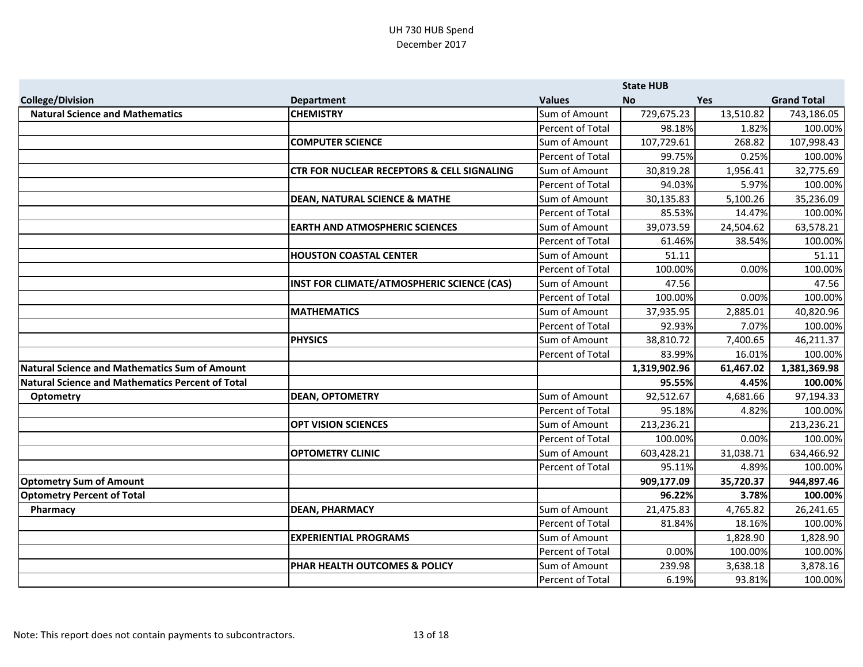|                                                         |                                                       |                         | <b>State HUB</b> |            |                    |
|---------------------------------------------------------|-------------------------------------------------------|-------------------------|------------------|------------|--------------------|
| <b>College/Division</b>                                 | <b>Department</b>                                     | <b>Values</b>           | <b>No</b>        | <b>Yes</b> | <b>Grand Total</b> |
| <b>Natural Science and Mathematics</b>                  | <b>CHEMISTRY</b>                                      | Sum of Amount           | 729,675.23       | 13,510.82  | 743,186.05         |
|                                                         |                                                       | Percent of Total        | 98.18%           | 1.82%      | 100.00%            |
|                                                         | <b>COMPUTER SCIENCE</b>                               | Sum of Amount           | 107,729.61       | 268.82     | 107,998.43         |
|                                                         |                                                       | Percent of Total        | 99.75%           | 0.25%      | 100.00%            |
|                                                         | <b>CTR FOR NUCLEAR RECEPTORS &amp; CELL SIGNALING</b> | Sum of Amount           | 30,819.28        | 1,956.41   | 32,775.69          |
|                                                         |                                                       | Percent of Total        | 94.03%           | 5.97%      | 100.00%            |
|                                                         | <b>DEAN, NATURAL SCIENCE &amp; MATHE</b>              | Sum of Amount           | 30,135.83        | 5,100.26   | 35,236.09          |
|                                                         |                                                       | Percent of Total        | 85.53%           | 14.47%     | 100.00%            |
|                                                         | <b>EARTH AND ATMOSPHERIC SCIENCES</b>                 | Sum of Amount           | 39,073.59        | 24,504.62  | 63,578.21          |
|                                                         |                                                       | Percent of Total        | 61.46%           | 38.54%     | 100.00%            |
|                                                         | <b>HOUSTON COASTAL CENTER</b>                         | Sum of Amount           | 51.11            |            | 51.11              |
|                                                         |                                                       | Percent of Total        | 100.00%          | 0.00%      | 100.00%            |
|                                                         | INST FOR CLIMATE/ATMOSPHERIC SCIENCE (CAS)            | Sum of Amount           | 47.56            |            | 47.56              |
|                                                         |                                                       | Percent of Total        | 100.00%          | 0.00%      | 100.00%            |
|                                                         | <b>MATHEMATICS</b>                                    | Sum of Amount           | 37,935.95        | 2,885.01   | 40,820.96          |
|                                                         |                                                       | Percent of Total        | 92.93%           | 7.07%      | 100.00%            |
|                                                         | <b>PHYSICS</b>                                        | Sum of Amount           | 38,810.72        | 7,400.65   | 46,211.37          |
|                                                         |                                                       | Percent of Total        | 83.99%           | 16.01%     | 100.00%            |
| Natural Science and Mathematics Sum of Amount           |                                                       |                         | 1,319,902.96     | 61,467.02  | 1,381,369.98       |
| <b>Natural Science and Mathematics Percent of Total</b> |                                                       |                         | 95.55%           | 4.45%      | 100.00%            |
| <b>Optometry</b>                                        | <b>DEAN, OPTOMETRY</b>                                | Sum of Amount           | 92,512.67        | 4,681.66   | 97,194.33          |
|                                                         |                                                       | Percent of Total        | 95.18%           | 4.82%      | 100.00%            |
|                                                         | <b>OPT VISION SCIENCES</b>                            | Sum of Amount           | 213,236.21       |            | 213,236.21         |
|                                                         |                                                       | Percent of Total        | 100.00%          | 0.00%      | 100.00%            |
|                                                         | <b>OPTOMETRY CLINIC</b>                               | Sum of Amount           | 603,428.21       | 31,038.71  | 634,466.92         |
|                                                         |                                                       | Percent of Total        | 95.11%           | 4.89%      | 100.00%            |
| <b>Optometry Sum of Amount</b>                          |                                                       |                         | 909,177.09       | 35,720.37  | 944,897.46         |
| <b>Optometry Percent of Total</b>                       |                                                       |                         | 96.22%           | 3.78%      | 100.00%            |
| Pharmacy                                                | <b>DEAN, PHARMACY</b>                                 | Sum of Amount           | 21,475.83        | 4,765.82   | 26,241.65          |
|                                                         |                                                       | <b>Percent of Total</b> | 81.84%           | 18.16%     | 100.00%            |
|                                                         | <b>EXPERIENTIAL PROGRAMS</b>                          | Sum of Amount           |                  | 1,828.90   | 1,828.90           |
|                                                         |                                                       | Percent of Total        | 0.00%            | 100.00%    | 100.00%            |
|                                                         | PHAR HEALTH OUTCOMES & POLICY                         | Sum of Amount           | 239.98           | 3,638.18   | 3,878.16           |
|                                                         |                                                       | Percent of Total        | 6.19%            | 93.81%     | 100.00%            |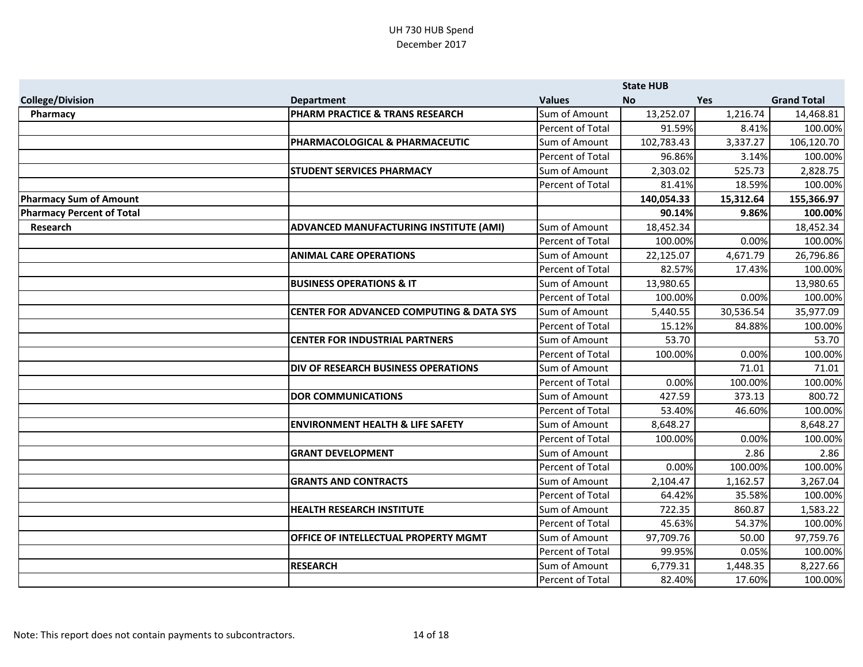|                                  |                                                     |                         | <b>State HUB</b> |            |                    |
|----------------------------------|-----------------------------------------------------|-------------------------|------------------|------------|--------------------|
| <b>College/Division</b>          | <b>Department</b>                                   | <b>Values</b>           | <b>No</b>        | <b>Yes</b> | <b>Grand Total</b> |
| Pharmacy                         | PHARM PRACTICE & TRANS RESEARCH                     | Sum of Amount           | 13,252.07        | 1,216.74   | 14,468.81          |
|                                  |                                                     | Percent of Total        | 91.59%           | 8.41%      | 100.00%            |
|                                  | PHARMACOLOGICAL & PHARMACEUTIC                      | Sum of Amount           | 102,783.43       | 3,337.27   | 106,120.70         |
|                                  |                                                     | Percent of Total        | 96.86%           | 3.14%      | 100.00%            |
|                                  | <b>STUDENT SERVICES PHARMACY</b>                    | Sum of Amount           | 2,303.02         | 525.73     | 2,828.75           |
|                                  |                                                     | Percent of Total        | 81.41%           | 18.59%     | 100.00%            |
| <b>Pharmacy Sum of Amount</b>    |                                                     |                         | 140,054.33       | 15,312.64  | 155,366.97         |
| <b>Pharmacy Percent of Total</b> |                                                     |                         | 90.14%           | 9.86%      | 100.00%            |
| <b>Research</b>                  | ADVANCED MANUFACTURING INSTITUTE (AMI)              | Sum of Amount           | 18,452.34        |            | 18,452.34          |
|                                  |                                                     | Percent of Total        | 100.00%          | 0.00%      | 100.00%            |
|                                  | <b>ANIMAL CARE OPERATIONS</b>                       | Sum of Amount           | 22,125.07        | 4,671.79   | 26,796.86          |
|                                  |                                                     | <b>Percent of Total</b> | 82.57%           | 17.43%     | 100.00%            |
|                                  | <b>BUSINESS OPERATIONS &amp; IT</b>                 | Sum of Amount           | 13,980.65        |            | 13,980.65          |
|                                  |                                                     | Percent of Total        | 100.00%          | 0.00%      | 100.00%            |
|                                  | <b>CENTER FOR ADVANCED COMPUTING &amp; DATA SYS</b> | Sum of Amount           | 5,440.55         | 30,536.54  | 35,977.09          |
|                                  |                                                     | Percent of Total        | 15.12%           | 84.88%     | 100.00%            |
|                                  | <b>CENTER FOR INDUSTRIAL PARTNERS</b>               | Sum of Amount           | 53.70            |            | 53.70              |
|                                  |                                                     | Percent of Total        | 100.00%          | 0.00%      | 100.00%            |
|                                  | <b>DIV OF RESEARCH BUSINESS OPERATIONS</b>          | Sum of Amount           |                  | 71.01      | 71.01              |
|                                  |                                                     | Percent of Total        | 0.00%            | 100.00%    | 100.00%            |
|                                  | <b>DOR COMMUNICATIONS</b>                           | Sum of Amount           | 427.59           | 373.13     | 800.72             |
|                                  |                                                     | Percent of Total        | 53.40%           | 46.60%     | 100.00%            |
|                                  | <b>ENVIRONMENT HEALTH &amp; LIFE SAFETY</b>         | Sum of Amount           | 8,648.27         |            | 8,648.27           |
|                                  |                                                     | Percent of Total        | 100.00%          | 0.00%      | 100.00%            |
|                                  | <b>GRANT DEVELOPMENT</b>                            | Sum of Amount           |                  | 2.86       | 2.86               |
|                                  |                                                     | Percent of Total        | 0.00%            | 100.00%    | 100.00%            |
|                                  | <b>GRANTS AND CONTRACTS</b>                         | Sum of Amount           | 2,104.47         | 1,162.57   | 3,267.04           |
|                                  |                                                     | Percent of Total        | 64.42%           | 35.58%     | 100.00%            |
|                                  | <b>HEALTH RESEARCH INSTITUTE</b>                    | Sum of Amount           | 722.35           | 860.87     | 1,583.22           |
|                                  |                                                     | Percent of Total        | 45.63%           | 54.37%     | 100.00%            |
|                                  | OFFICE OF INTELLECTUAL PROPERTY MGMT                | Sum of Amount           | 97,709.76        | 50.00      | 97,759.76          |
|                                  |                                                     | Percent of Total        | 99.95%           | 0.05%      | 100.00%            |
|                                  | <b>RESEARCH</b>                                     | Sum of Amount           | 6,779.31         | 1,448.35   | 8,227.66           |
|                                  |                                                     | Percent of Total        | 82.40%           | 17.60%     | 100.00%            |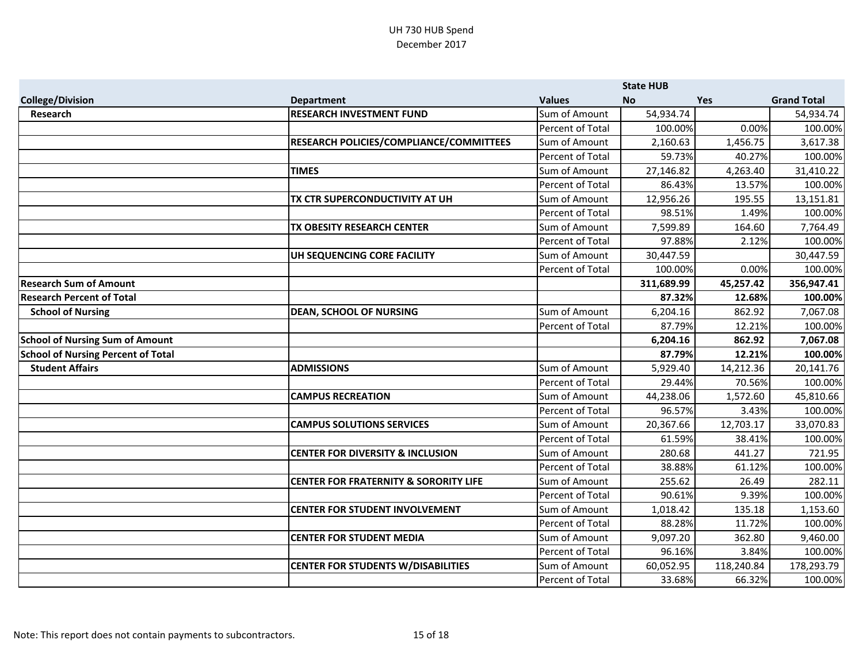|                                           |                                                  |                  | <b>State HUB</b> |            |                    |
|-------------------------------------------|--------------------------------------------------|------------------|------------------|------------|--------------------|
| <b>College/Division</b>                   | <b>Department</b>                                | <b>Values</b>    | <b>No</b>        | <b>Yes</b> | <b>Grand Total</b> |
| <b>Research</b>                           | <b>RESEARCH INVESTMENT FUND</b>                  | Sum of Amount    | 54,934.74        |            | 54,934.74          |
|                                           |                                                  | Percent of Total | 100.00%          | 0.00%      | 100.00%            |
|                                           | RESEARCH POLICIES/COMPLIANCE/COMMITTEES          | Sum of Amount    | 2,160.63         | 1,456.75   | 3,617.38           |
|                                           |                                                  | Percent of Total | 59.73%           | 40.27%     | 100.00%            |
|                                           | <b>TIMES</b>                                     | Sum of Amount    | 27,146.82        | 4,263.40   | 31,410.22          |
|                                           |                                                  | Percent of Total | 86.43%           | 13.57%     | 100.00%            |
|                                           | TX CTR SUPERCONDUCTIVITY AT UH                   | Sum of Amount    | 12,956.26        | 195.55     | 13,151.81          |
|                                           |                                                  | Percent of Total | 98.51%           | 1.49%      | 100.00%            |
|                                           | TX OBESITY RESEARCH CENTER                       | Sum of Amount    | 7,599.89         | 164.60     | 7,764.49           |
|                                           |                                                  | Percent of Total | 97.88%           | 2.12%      | 100.00%            |
|                                           | UH SEQUENCING CORE FACILITY                      | Sum of Amount    | 30,447.59        |            | 30,447.59          |
|                                           |                                                  | Percent of Total | 100.00%          | 0.00%      | 100.00%            |
| <b>Research Sum of Amount</b>             |                                                  |                  | 311,689.99       | 45,257.42  | 356,947.41         |
| <b>Research Percent of Total</b>          |                                                  |                  | 87.32%           | 12.68%     | 100.00%            |
| <b>School of Nursing</b>                  | <b>DEAN, SCHOOL OF NURSING</b>                   | Sum of Amount    | 6,204.16         | 862.92     | 7,067.08           |
|                                           |                                                  | Percent of Total | 87.79%           | 12.21%     | 100.00%            |
| <b>School of Nursing Sum of Amount</b>    |                                                  |                  | 6,204.16         | 862.92     | 7,067.08           |
| <b>School of Nursing Percent of Total</b> |                                                  |                  | 87.79%           | 12.21%     | 100.00%            |
| <b>Student Affairs</b>                    | <b>ADMISSIONS</b>                                | Sum of Amount    | 5,929.40         | 14,212.36  | 20,141.76          |
|                                           |                                                  | Percent of Total | 29.44%           | 70.56%     | 100.00%            |
|                                           | <b>CAMPUS RECREATION</b>                         | Sum of Amount    | 44,238.06        | 1,572.60   | 45,810.66          |
|                                           |                                                  | Percent of Total | 96.57%           | 3.43%      | 100.00%            |
|                                           | <b>CAMPUS SOLUTIONS SERVICES</b>                 | Sum of Amount    | 20,367.66        | 12,703.17  | 33,070.83          |
|                                           |                                                  | Percent of Total | 61.59%           | 38.41%     | 100.00%            |
|                                           | <b>CENTER FOR DIVERSITY &amp; INCLUSION</b>      | Sum of Amount    | 280.68           | 441.27     | 721.95             |
|                                           |                                                  | Percent of Total | 38.88%           | 61.12%     | 100.00%            |
|                                           | <b>CENTER FOR FRATERNITY &amp; SORORITY LIFE</b> | Sum of Amount    | 255.62           | 26.49      | 282.11             |
|                                           |                                                  | Percent of Total | 90.61%           | 9.39%      | 100.00%            |
|                                           | <b>CENTER FOR STUDENT INVOLVEMENT</b>            | Sum of Amount    | 1,018.42         | 135.18     | 1,153.60           |
|                                           |                                                  | Percent of Total | 88.28%           | 11.72%     | 100.00%            |
|                                           | <b>CENTER FOR STUDENT MEDIA</b>                  | Sum of Amount    | 9,097.20         | 362.80     | 9,460.00           |
|                                           |                                                  | Percent of Total | 96.16%           | 3.84%      | 100.00%            |
|                                           | <b>CENTER FOR STUDENTS W/DISABILITIES</b>        | Sum of Amount    | 60,052.95        | 118,240.84 | 178,293.79         |
|                                           |                                                  | Percent of Total | 33.68%           | 66.32%     | 100.00%            |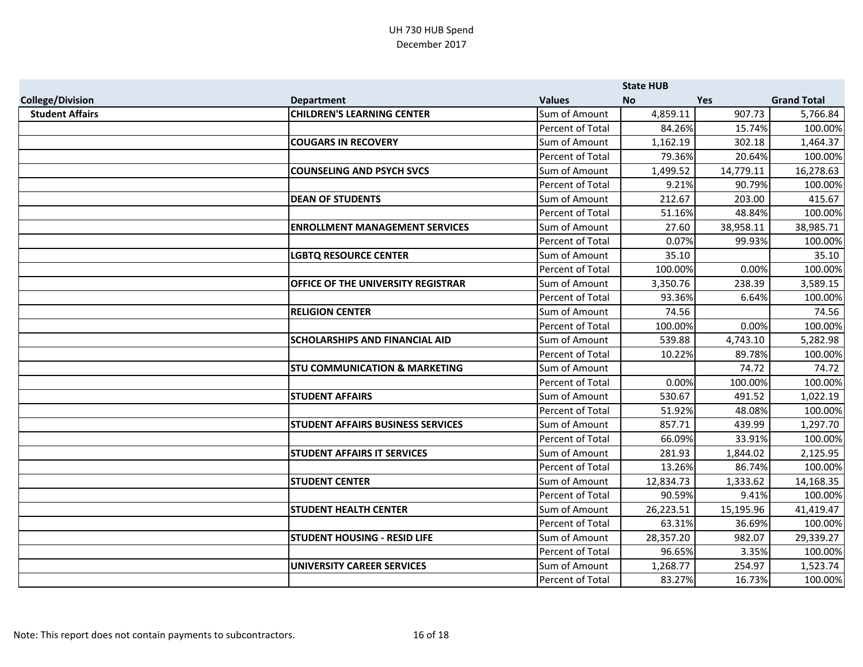|                         |                                          |                         | <b>State HUB</b> |            |                    |
|-------------------------|------------------------------------------|-------------------------|------------------|------------|--------------------|
| <b>College/Division</b> | <b>Department</b>                        | <b>Values</b>           | <b>No</b>        | <b>Yes</b> | <b>Grand Total</b> |
| <b>Student Affairs</b>  | <b>CHILDREN'S LEARNING CENTER</b>        | Sum of Amount           | 4,859.11         | 907.73     | 5,766.84           |
|                         |                                          | Percent of Total        | 84.26%           | 15.74%     | 100.00%            |
|                         | <b>COUGARS IN RECOVERY</b>               | Sum of Amount           | 1,162.19         | 302.18     | 1,464.37           |
|                         |                                          | Percent of Total        | 79.36%           | 20.64%     | 100.00%            |
|                         | <b>COUNSELING AND PSYCH SVCS</b>         | Sum of Amount           | 1,499.52         | 14,779.11  | 16,278.63          |
|                         |                                          | <b>Percent of Total</b> | 9.21%            | 90.79%     | 100.00%            |
|                         | <b>DEAN OF STUDENTS</b>                  | Sum of Amount           | 212.67           | 203.00     | 415.67             |
|                         |                                          | Percent of Total        | 51.16%           | 48.84%     | 100.00%            |
|                         | <b>ENROLLMENT MANAGEMENT SERVICES</b>    | Sum of Amount           | 27.60            | 38,958.11  | 38,985.71          |
|                         |                                          | Percent of Total        | 0.07%            | 99.93%     | 100.00%            |
|                         | <b>LGBTQ RESOURCE CENTER</b>             | Sum of Amount           | 35.10            |            | 35.10              |
|                         |                                          | Percent of Total        | 100.00%          | 0.00%      | 100.00%            |
|                         | OFFICE OF THE UNIVERSITY REGISTRAR       | Sum of Amount           | 3,350.76         | 238.39     | 3,589.15           |
|                         |                                          | Percent of Total        | 93.36%           | 6.64%      | 100.00%            |
|                         | <b>RELIGION CENTER</b>                   | Sum of Amount           | 74.56            |            | 74.56              |
|                         |                                          | Percent of Total        | 100.00%          | 0.00%      | 100.00%            |
|                         | <b>SCHOLARSHIPS AND FINANCIAL AID</b>    | Sum of Amount           | 539.88           | 4,743.10   | 5,282.98           |
|                         |                                          | Percent of Total        | 10.22%           | 89.78%     | 100.00%            |
|                         | <b>STU COMMUNICATION &amp; MARKETING</b> | Sum of Amount           |                  | 74.72      | 74.72              |
|                         |                                          | <b>Percent of Total</b> | 0.00%            | 100.00%    | 100.00%            |
|                         | <b>STUDENT AFFAIRS</b>                   | Sum of Amount           | 530.67           | 491.52     | 1,022.19           |
|                         |                                          | Percent of Total        | 51.92%           | 48.08%     | 100.00%            |
|                         | STUDENT AFFAIRS BUSINESS SERVICES        | Sum of Amount           | 857.71           | 439.99     | 1,297.70           |
|                         |                                          | Percent of Total        | 66.09%           | 33.91%     | 100.00%            |
|                         | <b>STUDENT AFFAIRS IT SERVICES</b>       | Sum of Amount           | 281.93           | 1,844.02   | 2,125.95           |
|                         |                                          | Percent of Total        | 13.26%           | 86.74%     | 100.00%            |
|                         | <b>STUDENT CENTER</b>                    | Sum of Amount           | 12,834.73        | 1,333.62   | 14,168.35          |
|                         |                                          | Percent of Total        | 90.59%           | 9.41%      | 100.00%            |
|                         | <b>STUDENT HEALTH CENTER</b>             | Sum of Amount           | 26,223.51        | 15,195.96  | 41,419.47          |
|                         |                                          | Percent of Total        | 63.31%           | 36.69%     | 100.00%            |
|                         | <b>STUDENT HOUSING - RESID LIFE</b>      | Sum of Amount           | 28,357.20        | 982.07     | 29,339.27          |
|                         |                                          | Percent of Total        | 96.65%           | 3.35%      | 100.00%            |
|                         | <b>UNIVERSITY CAREER SERVICES</b>        | Sum of Amount           | 1,268.77         | 254.97     | 1,523.74           |
|                         |                                          | Percent of Total        | 83.27%           | 16.73%     | 100.00%            |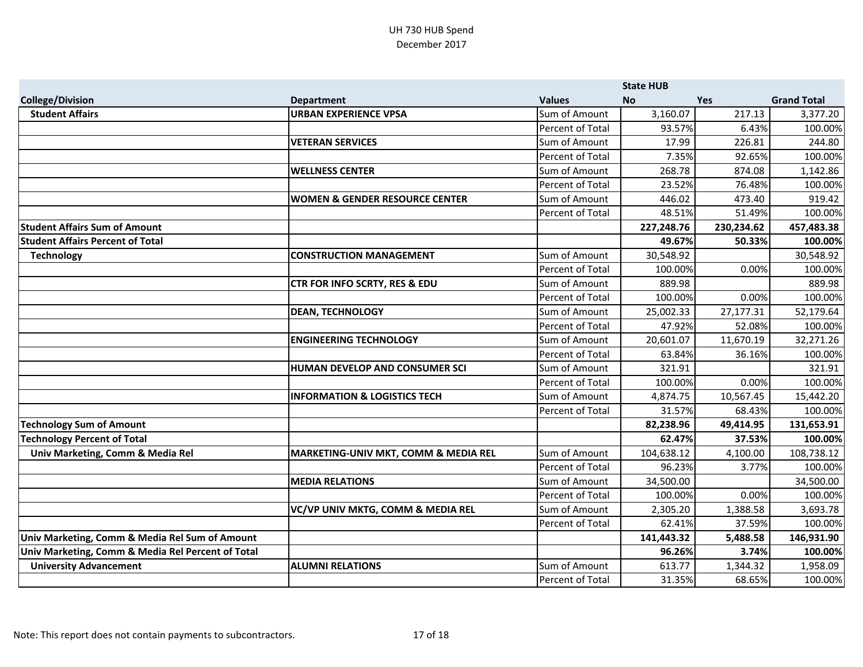|                                                   |                                           |                         | <b>State HUB</b> |            |                    |
|---------------------------------------------------|-------------------------------------------|-------------------------|------------------|------------|--------------------|
| <b>College/Division</b>                           | <b>Department</b>                         | <b>Values</b>           | <b>No</b>        | Yes        | <b>Grand Total</b> |
| <b>Student Affairs</b>                            | <b>URBAN EXPERIENCE VPSA</b>              | Sum of Amount           | 3,160.07         | 217.13     | 3,377.20           |
|                                                   |                                           | Percent of Total        | 93.57%           | 6.43%      | 100.00%            |
|                                                   | <b>VETERAN SERVICES</b>                   | Sum of Amount           | 17.99            | 226.81     | 244.80             |
|                                                   |                                           | <b>Percent of Total</b> | 7.35%            | 92.65%     | 100.00%            |
|                                                   | <b>WELLNESS CENTER</b>                    | Sum of Amount           | 268.78           | 874.08     | 1,142.86           |
|                                                   |                                           | Percent of Total        | 23.52%           | 76.48%     | 100.00%            |
|                                                   | <b>WOMEN &amp; GENDER RESOURCE CENTER</b> | Sum of Amount           | 446.02           | 473.40     | 919.42             |
|                                                   |                                           | Percent of Total        | 48.51%           | 51.49%     | 100.00%            |
| <b>Student Affairs Sum of Amount</b>              |                                           |                         | 227,248.76       | 230,234.62 | 457,483.38         |
| <b>Student Affairs Percent of Total</b>           |                                           |                         | 49.67%           | 50.33%     | 100.00%            |
| <b>Technology</b>                                 | <b>CONSTRUCTION MANAGEMENT</b>            | Sum of Amount           | 30,548.92        |            | 30,548.92          |
|                                                   |                                           | Percent of Total        | 100.00%          | 0.00%      | 100.00%            |
|                                                   | <b>CTR FOR INFO SCRTY, RES &amp; EDU</b>  | Sum of Amount           | 889.98           |            | 889.98             |
|                                                   |                                           | Percent of Total        | 100.00%          | 0.00%      | 100.00%            |
|                                                   | <b>DEAN, TECHNOLOGY</b>                   | Sum of Amount           | 25,002.33        | 27,177.31  | 52,179.64          |
|                                                   |                                           | <b>Percent of Total</b> | 47.92%           | 52.08%     | 100.00%            |
|                                                   | <b>ENGINEERING TECHNOLOGY</b>             | Sum of Amount           | 20,601.07        | 11,670.19  | 32,271.26          |
|                                                   |                                           | Percent of Total        | 63.84%           | 36.16%     | 100.00%            |
|                                                   | HUMAN DEVELOP AND CONSUMER SCI            | Sum of Amount           | 321.91           |            | 321.91             |
|                                                   |                                           | Percent of Total        | 100.00%          | 0.00%      | 100.00%            |
|                                                   | <b>INFORMATION &amp; LOGISTICS TECH</b>   | Sum of Amount           | 4,874.75         | 10,567.45  | 15,442.20          |
|                                                   |                                           | Percent of Total        | 31.57%           | 68.43%     | 100.00%            |
| <b>Technology Sum of Amount</b>                   |                                           |                         | 82,238.96        | 49,414.95  | 131,653.91         |
| <b>Technology Percent of Total</b>                |                                           |                         | 62.47%           | 37.53%     | 100.00%            |
| Univ Marketing, Comm & Media Rel                  | MARKETING-UNIV MKT, COMM & MEDIA REL      | Sum of Amount           | 104,638.12       | 4,100.00   | 108,738.12         |
|                                                   |                                           | Percent of Total        | 96.23%           | 3.77%      | 100.00%            |
|                                                   | <b>MEDIA RELATIONS</b>                    | Sum of Amount           | 34,500.00        |            | 34,500.00          |
|                                                   |                                           | Percent of Total        | 100.00%          | 0.00%      | 100.00%            |
|                                                   | VC/VP UNIV MKTG, COMM & MEDIA REL         | Sum of Amount           | 2,305.20         | 1,388.58   | 3,693.78           |
|                                                   |                                           | Percent of Total        | 62.41%           | 37.59%     | 100.00%            |
| Univ Marketing, Comm & Media Rel Sum of Amount    |                                           |                         | 141,443.32       | 5,488.58   | 146,931.90         |
| Univ Marketing, Comm & Media Rel Percent of Total |                                           |                         | 96.26%           | 3.74%      | 100.00%            |
| <b>University Advancement</b>                     | <b>ALUMNI RELATIONS</b>                   | Sum of Amount           | 613.77           | 1,344.32   | 1,958.09           |
|                                                   |                                           | Percent of Total        | 31.35%           | 68.65%     | 100.00%            |